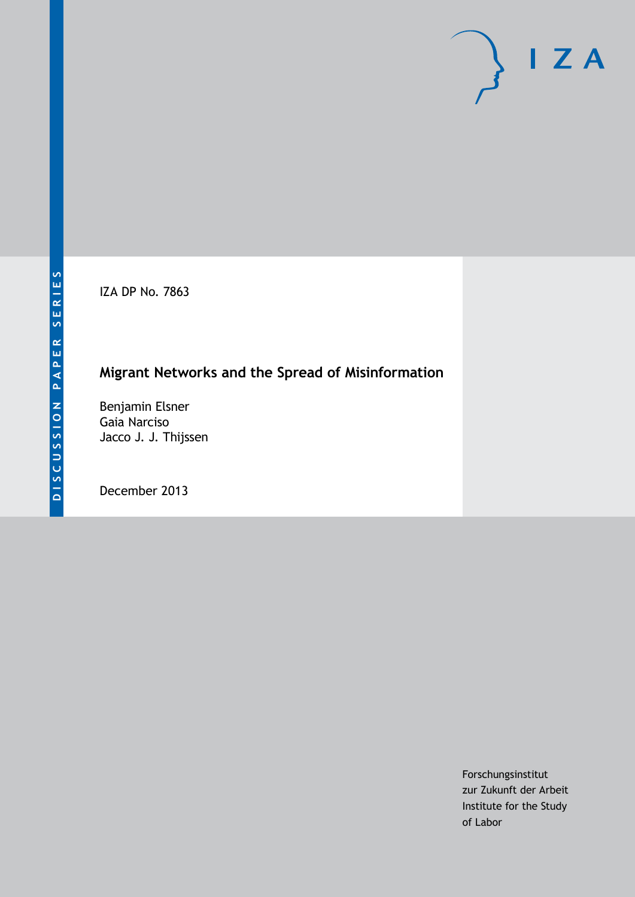IZA DP No. 7863

# **Migrant Networks and the Spread of Misinformation**

Benjamin Elsner Gaia Narciso Jacco J. J. Thijssen

December 2013

Forschungsinstitut zur Zukunft der Arbeit Institute for the Study of Labor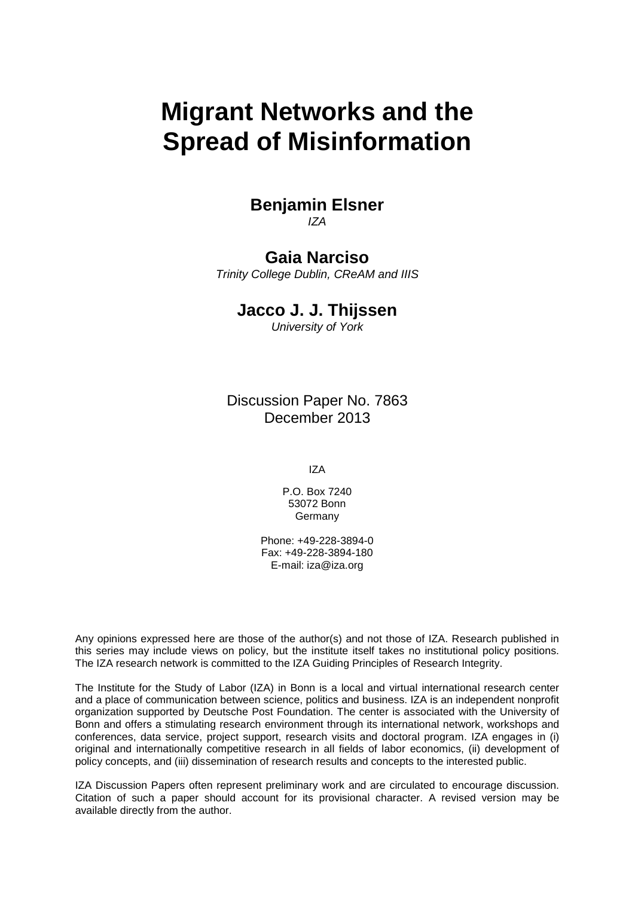# **Migrant Networks and the Spread of Misinformation**

## **Benjamin Elsner** *IZA*

## **Gaia Narciso**

*Trinity College Dublin, CReAM and IIIS*

## **Jacco J. J. Thijssen**

*University of York*

Discussion Paper No. 7863 December 2013

IZA

P.O. Box 7240 53072 Bonn Germany

Phone: +49-228-3894-0 Fax: +49-228-3894-180 E-mail: [iza@iza.org](mailto:iza@iza.org)

Any opinions expressed here are those of the author(s) and not those of IZA. Research published in this series may include views on policy, but the institute itself takes no institutional policy positions. The IZA research network is committed to the IZA Guiding Principles of Research Integrity.

The Institute for the Study of Labor (IZA) in Bonn is a local and virtual international research center and a place of communication between science, politics and business. IZA is an independent nonprofit organization supported by Deutsche Post Foundation. The center is associated with the University of Bonn and offers a stimulating research environment through its international network, workshops and conferences, data service, project support, research visits and doctoral program. IZA engages in (i) original and internationally competitive research in all fields of labor economics, (ii) development of policy concepts, and (iii) dissemination of research results and concepts to the interested public.

<span id="page-1-0"></span>IZA Discussion Papers often represent preliminary work and are circulated to encourage discussion. Citation of such a paper should account for its provisional character. A revised version may be available directly from the author.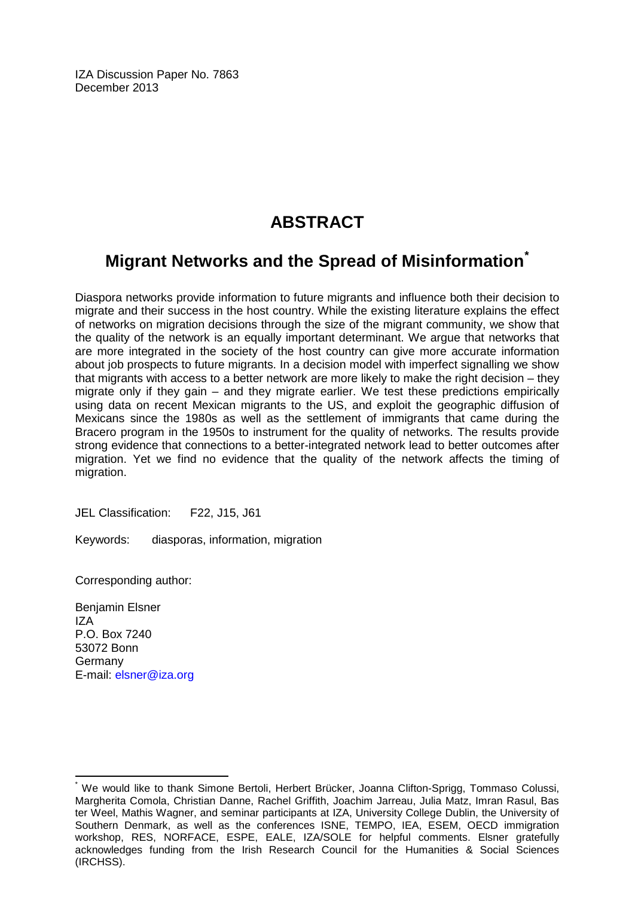IZA Discussion Paper No. 7863 December 2013

# **ABSTRACT**

# **Migrant Networks and the Spread of Misinformation[\\*](#page-1-0)**

Diaspora networks provide information to future migrants and influence both their decision to migrate and their success in the host country. While the existing literature explains the effect of networks on migration decisions through the size of the migrant community, we show that the quality of the network is an equally important determinant. We argue that networks that are more integrated in the society of the host country can give more accurate information about job prospects to future migrants. In a decision model with imperfect signalling we show that migrants with access to a better network are more likely to make the right decision – they migrate only if they gain – and they migrate earlier. We test these predictions empirically using data on recent Mexican migrants to the US, and exploit the geographic diffusion of Mexicans since the 1980s as well as the settlement of immigrants that came during the Bracero program in the 1950s to instrument for the quality of networks. The results provide strong evidence that connections to a better-integrated network lead to better outcomes after migration. Yet we find no evidence that the quality of the network affects the timing of migration.

JEL Classification: F22, J15, J61

Keywords: diasporas, information, migration

Corresponding author:

Benjamin Elsner IZA P.O. Box 7240 53072 Bonn Germany E-mail: [elsner@iza.org](mailto:elsner@iza.org)

We would like to thank Simone Bertoli, Herbert Brücker, Joanna Clifton-Sprigg, Tommaso Colussi, Margherita Comola, Christian Danne, Rachel Griffith, Joachim Jarreau, Julia Matz, Imran Rasul, Bas ter Weel, Mathis Wagner, and seminar participants at IZA, University College Dublin, the University of Southern Denmark, as well as the conferences ISNE, TEMPO, IEA, ESEM, OECD immigration workshop, RES, NORFACE, ESPE, EALE, IZA/SOLE for helpful comments. Elsner gratefully acknowledges funding from the Irish Research Council for the Humanities & Social Sciences (IRCHSS).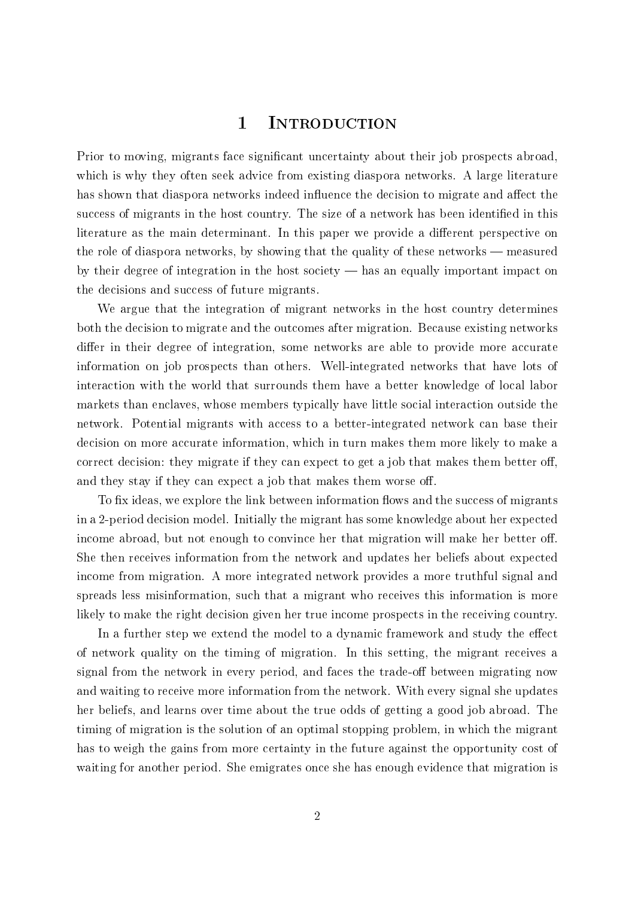## 1 Introduction

Prior to moving, migrants face significant uncertainty about their job prospects abroad, which is why they often seek advice from existing diaspora networks. A large literature has shown that diaspora networks indeed influence the decision to migrate and affect the success of migrants in the host country. The size of a network has been identified in this literature as the main determinant. In this paper we provide a different perspective on the role of diaspora networks, by showing that the quality of these networks  $-$  measured by their degree of integration in the host society  $-$  has an equally important impact on the decisions and success of future migrants.

We argue that the integration of migrant networks in the host country determines both the decision to migrate and the outcomes after migration. Because existing networks differ in their degree of integration, some networks are able to provide more accurate information on job prospects than others. Well-integrated networks that have lots of interaction with the world that surrounds them have a better knowledge of local labor markets than enclaves, whose members typically have little social interaction outside the network. Potential migrants with access to a better-integrated network can base their decision on more accurate information, which in turn makes them more likely to make a correct decision: they migrate if they can expect to get a job that makes them better off. and they stay if they can expect a job that makes them worse off.

To fix ideas, we explore the link between information flows and the success of migrants in a 2-period decision model. Initially the migrant has some knowledge about her expected income abroad, but not enough to convince her that migration will make her better off. She then receives information from the network and updates her beliefs about expected income from migration. A more integrated network provides a more truthful signal and spreads less misinformation, such that a migrant who receives this information is more likely to make the right decision given her true income prospects in the receiving country.

In a further step we extend the model to a dynamic framework and study the effect of network quality on the timing of migration. In this setting, the migrant receives a signal from the network in every period, and faces the trade-off between migrating now and waiting to receive more information from the network. With every signal she updates her beliefs, and learns over time about the true odds of getting a good job abroad. The timing of migration is the solution of an optimal stopping problem, in which the migrant has to weigh the gains from more certainty in the future against the opportunity cost of waiting for another period. She emigrates once she has enough evidence that migration is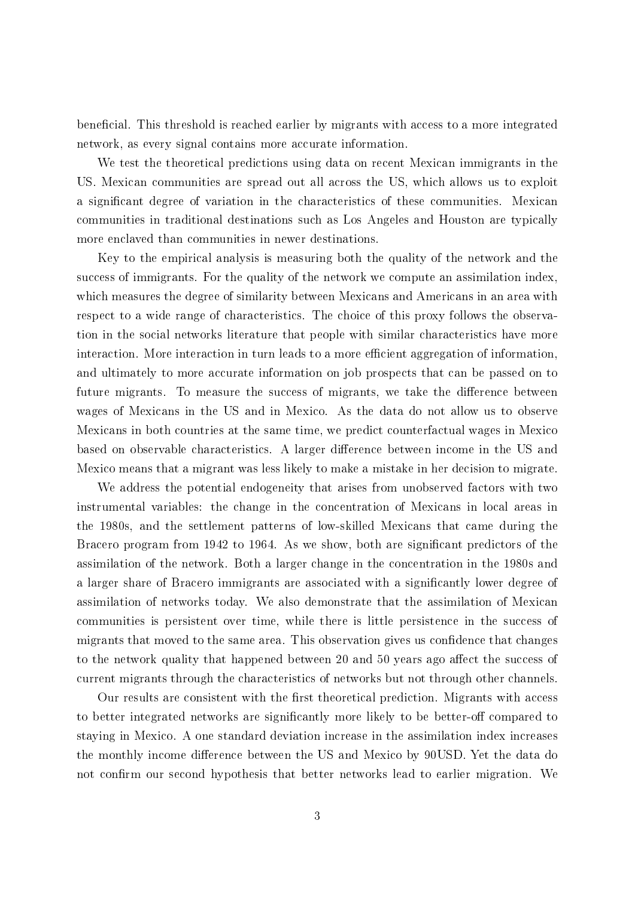beneficial. This threshold is reached earlier by migrants with access to a more integrated network, as every signal contains more accurate information.

We test the theoretical predictions using data on recent Mexican immigrants in the US. Mexican communities are spread out all across the US, which allows us to exploit a significant degree of variation in the characteristics of these communities. Mexican communities in traditional destinations such as Los Angeles and Houston are typically more enclaved than communities in newer destinations.

Key to the empirical analysis is measuring both the quality of the network and the success of immigrants. For the quality of the network we compute an assimilation index, which measures the degree of similarity between Mexicans and Americans in an area with respect to a wide range of characteristics. The choice of this proxy follows the observation in the social networks literature that people with similar characteristics have more interaction. More interaction in turn leads to a more efficient aggregation of information. and ultimately to more accurate information on job prospects that can be passed on to future migrants. To measure the success of migrants, we take the difference between wages of Mexicans in the US and in Mexico. As the data do not allow us to observe Mexicans in both countries at the same time, we predict counterfactual wages in Mexico based on observable characteristics. A larger difference between income in the US and Mexico means that a migrant was less likely to make a mistake in her decision to migrate.

We address the potential endogeneity that arises from unobserved factors with two instrumental variables: the change in the concentration of Mexicans in local areas in the 1980s, and the settlement patterns of low-skilled Mexicans that came during the Bracero program from 1942 to 1964. As we show, both are significant predictors of the assimilation of the network. Both a larger change in the concentration in the 1980s and a larger share of Bracero immigrants are associated with a signicantly lower degree of assimilation of networks today. We also demonstrate that the assimilation of Mexican communities is persistent over time, while there is little persistence in the success of migrants that moved to the same area. This observation gives us confidence that changes to the network quality that happened between 20 and 50 years ago affect the success of current migrants through the characteristics of networks but not through other channels.

Our results are consistent with the first theoretical prediction. Migrants with access to better integrated networks are significantly more likely to be better-off compared to staying in Mexico. A one standard deviation increase in the assimilation index increases the monthly income difference between the US and Mexico by 90USD. Yet the data do not confirm our second hypothesis that better networks lead to earlier migration. We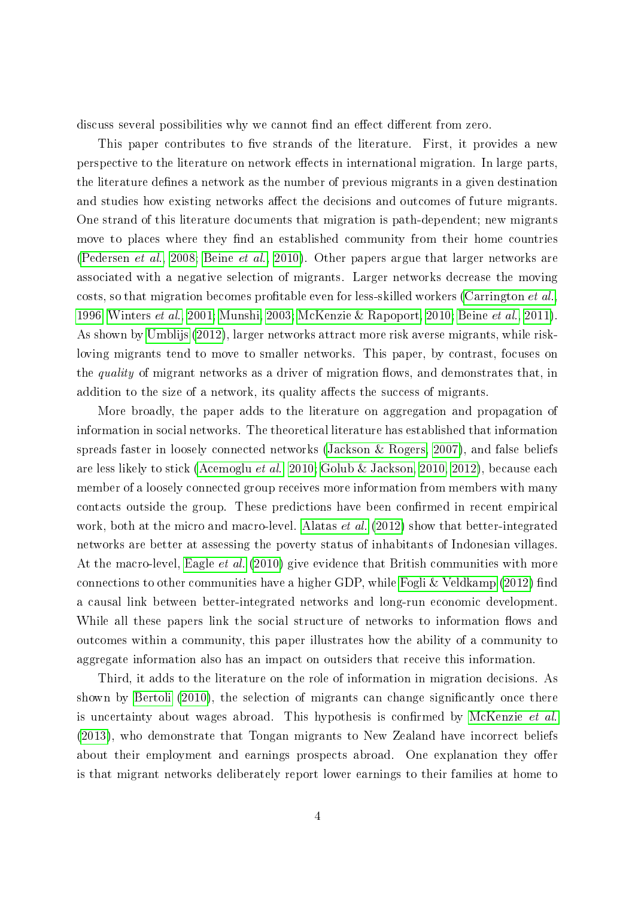discuss several possibilities why we cannot find an effect different from zero.

This paper contributes to five strands of the literature. First, it provides a new perspective to the literature on network effects in international migration. In large parts, the literature defines a network as the number of previous migrants in a given destination and studies how existing networks affect the decisions and outcomes of future migrants. One strand of this literature documents that migration is path-dependent; new migrants move to places where they find an established community from their home countries [\(Pedersen](#page-42-0) et al., [2008;](#page-42-0) [Beine](#page-39-0) et al., [2010\)](#page-39-0). Other papers argue that larger networks are associated with a negative selection of migrants. Larger networks decrease the moving costs, so that migration becomes profitable even for less-skilled workers [\(Carrington](#page-40-0)  $et al.$ [1996;](#page-40-0) [Winters](#page-43-0) et al., [2001;](#page-43-0) [Munshi, 2003;](#page-42-1) [McKenzie & Rapoport, 2010;](#page-42-2) [Beine](#page-39-1) et al., [2011\)](#page-39-1). As shown by [Umblijs](#page-43-1) [\(2012\)](#page-43-1), larger networks attract more risk averse migrants, while riskloving migrants tend to move to smaller networks. This paper, by contrast, focuses on the *quality* of migrant networks as a driver of migration flows, and demonstrates that, in addition to the size of a network, its quality affects the success of migrants.

More broadly, the paper adds to the literature on aggregation and propagation of information in social networks. The theoretical literature has established that information spreads faster in loosely connected networks [\(Jackson & Rogers, 2007\)](#page-41-0), and false beliefs are less likely to stick [\(Acemoglu](#page-38-0) et al., [2010;](#page-38-0) [Golub & Jackson, 2010,](#page-41-1) [2012\)](#page-41-2), because each member of a loosely connected group receives more information from members with many contacts outside the group. These predictions have been confirmed in recent empirical work, both at the micro and macro-level. [Alatas](#page-38-1) *et al.* [\(2012\)](#page-38-1) show that better-integrated networks are better at assessing the poverty status of inhabitants of Indonesian villages. At the macro-level, [Eagle](#page-40-1) et al. [\(2010\)](#page-40-1) give evidence that British communities with more connections to other communities have a higher GDP, while Fogli  $&$  Veldkamp [\(2012\)](#page-40-2) find a causal link between better-integrated networks and long-run economic development. While all these papers link the social structure of networks to information flows and outcomes within a community, this paper illustrates how the ability of a community to aggregate information also has an impact on outsiders that receive this information.

Third, it adds to the literature on the role of information in migration decisions. As shown by [Bertoli](#page-39-2) [\(2010\)](#page-39-2), the selection of migrants can change significantly once there is uncertainty about wages abroad. This hypothesis is confirmed by [McKenzie](#page-42-3)  $et$  al. [\(2013\)](#page-42-3), who demonstrate that Tongan migrants to New Zealand have incorrect beliefs about their employment and earnings prospects abroad. One explanation they offer is that migrant networks deliberately report lower earnings to their families at home to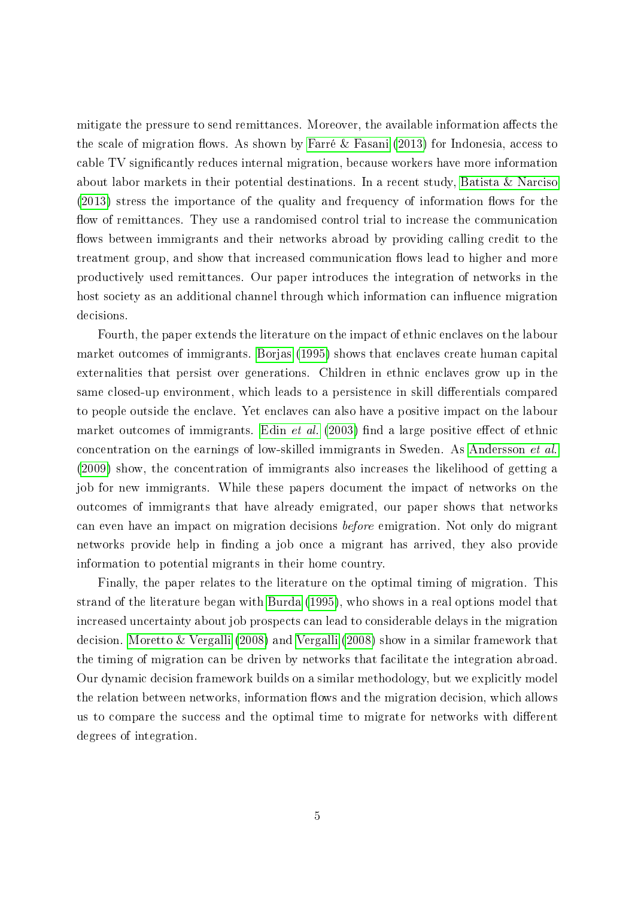mitigate the pressure to send remittances. Moreover, the available information affects the the scale of migration flows. As shown by [Farré & Fasani](#page-40-3)  $(2013)$  for Indonesia, access to cable TV signicantly reduces internal migration, because workers have more information about labor markets in their potential destinations. In a recent study, Batista & Narcisc  $(2013)$  stress the importance of the quality and frequency of information flows for the flow of remittances. They use a randomised control trial to increase the communication flows between immigrants and their networks abroad by providing calling credit to the treatment group, and show that increased communication flows lead to higher and more productively used remittances. Our paper introduces the integration of networks in the host society as an additional channel through which information can influence migration decisions.

Fourth, the paper extends the literature on the impact of ethnic enclaves on the labour market outcomes of immigrants. [Borjas](#page-39-3) [\(1995\)](#page-39-3) shows that enclaves create human capital externalities that persist over generations. Children in ethnic enclaves grow up in the same closed-up environment, which leads to a persistence in skill differentials compared to people outside the enclave. Yet enclaves can also have a positive impact on the labour market outcomes of immigrants. Edin *[et al.](#page-40-4)* [\(2003\)](#page-40-4) find a large positive effect of ethnic concentration on the earnings of low-skilled immigrants in Sweden. As [Andersson](#page-38-3) et al. [\(2009\)](#page-38-3) show, the concentration of immigrants also increases the likelihood of getting a job for new immigrants. While these papers document the impact of networks on the outcomes of immigrants that have already emigrated, our paper shows that networks can even have an impact on migration decisions before emigration. Not only do migrant networks provide help in finding a job once a migrant has arrived, they also provide information to potential migrants in their home country.

Finally, the paper relates to the literature on the optimal timing of migration. This strand of the literature began with [Burda](#page-39-4) [\(1995\)](#page-39-4), who shows in a real options model that increased uncertainty about job prospects can lead to considerable delays in the migration decision. [Moretto & Vergalli](#page-42-4) [\(2008\)](#page-42-4) and [Vergalli](#page-43-2) [\(2008\)](#page-43-2) show in a similar framework that the timing of migration can be driven by networks that facilitate the integration abroad. Our dynamic decision framework builds on a similar methodology, but we explicitly model the relation between networks, information flows and the migration decision, which allows us to compare the success and the optimal time to migrate for networks with different degrees of integration.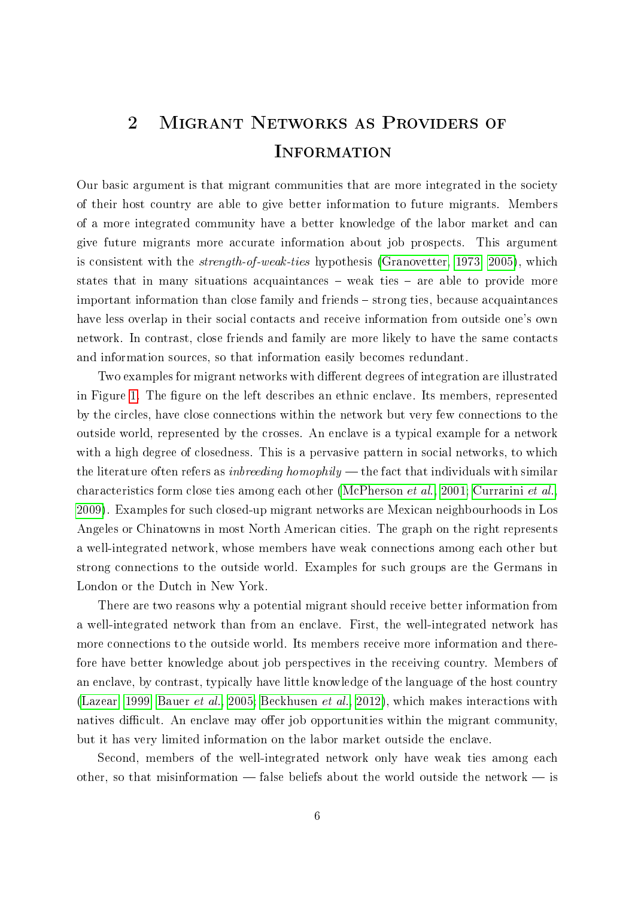# <span id="page-7-0"></span>2 Migrant Networks as Providers of **INFORMATION**

Our basic argument is that migrant communities that are more integrated in the society of their host country are able to give better information to future migrants. Members of a more integrated community have a better knowledge of the labor market and can give future migrants more accurate information about job prospects. This argument is consistent with the strength-of-weak-ties hypothesis [\(Granovetter, 1973,](#page-41-3) [2005\)](#page-41-4), which states that in many situations acquaintances  $-$  weak ties  $-$  are able to provide more important information than close family and friends – strong ties, because acquaintances have less overlap in their social contacts and receive information from outside one's own network. In contrast, close friends and family are more likely to have the same contacts and information sources, so that information easily becomes redundant.

Two examples for migrant networks with different degrees of integration are illustrated in Figure [1.](#page-8-0) The figure on the left describes an ethnic enclave. Its members, represented by the circles, have close connections within the network but very few connections to the outside world, represented by the crosses. An enclave is a typical example for a network with a high degree of closedness. This is a pervasive pattern in social networks, to which the literature often refers as *inbreeding homophily*  $-$  the fact that individuals with similar characteristics form close ties among each other [\(McPherson](#page-42-5) et al., [2001;](#page-42-5) [Currarini](#page-40-5) et al., [2009\)](#page-40-5). Examples for such closed-up migrant networks are Mexican neighbourhoods in Los Angeles or Chinatowns in most North American cities. The graph on the right represents a well-integrated network, whose members have weak connections among each other but strong connections to the outside world. Examples for such groups are the Germans in London or the Dutch in New York.

There are two reasons why a potential migrant should receive better information from a well-integrated network than from an enclave. First, the well-integrated network has more connections to the outside world. Its members receive more information and therefore have better knowledge about job perspectives in the receiving country. Members of an enclave, by contrast, typically have little knowledge of the language of the host country [\(Lazear, 1999;](#page-41-5) [Bauer](#page-38-4) et al., [2005;](#page-38-4) [Beckhusen](#page-38-5) et al., [2012\)](#page-38-5), which makes interactions with natives difficult. An enclave may offer job opportunities within the migrant community, but it has very limited information on the labor market outside the enclave.

Second, members of the well-integrated network only have weak ties among each other, so that misinformation  $-$  false beliefs about the world outside the network  $-$  is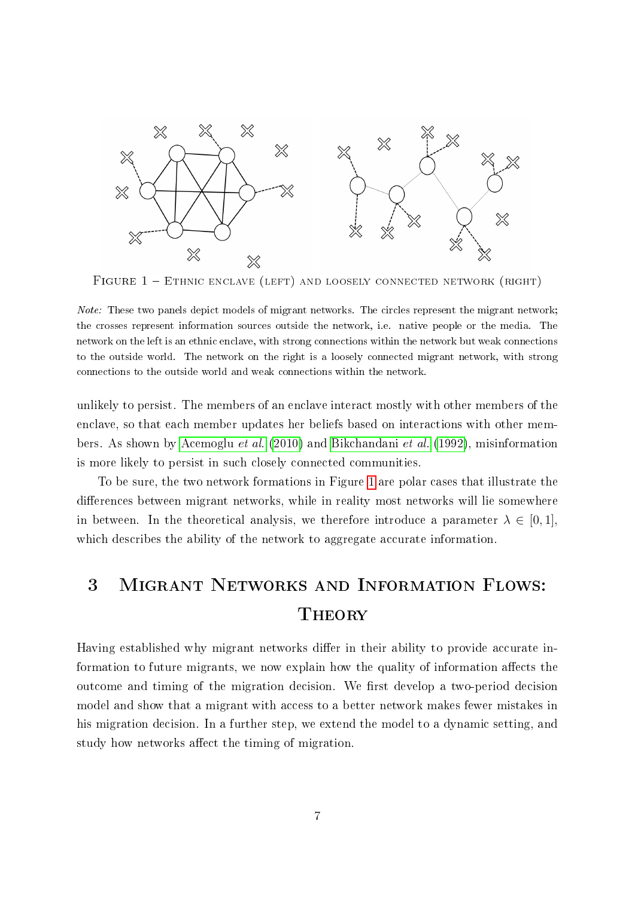<span id="page-8-0"></span>

FIGURE  $1 -$  ETHNIC ENCLAVE (LEFT) AND LOOSELY CONNECTED NETWORK (RIGHT)

unlikely to persist. The members of an enclave interact mostly with other members of the enclave, so that each member updates her beliefs based on interactions with other members. As shown by [Acemoglu](#page-38-0) et al. [\(2010\)](#page-38-0) and [Bikchandani](#page-39-5) et al. [\(1992\)](#page-39-5), misinformation is more likely to persist in such closely connected communities.

To be sure, the two network formations in Figure [1](#page-8-0) are polar cases that illustrate the differences between migrant networks, while in reality most networks will lie somewhere in between. In the theoretical analysis, we therefore introduce a parameter  $\lambda \in [0, 1]$ , which describes the ability of the network to aggregate accurate information.

# 3 Migrant Networks and Information Flows: Theory

Having established why migrant networks differ in their ability to provide accurate information to future migrants, we now explain how the quality of information affects the outcome and timing of the migration decision. We first develop a two-period decision model and show that a migrant with access to a better network makes fewer mistakes in his migration decision. In a further step, we extend the model to a dynamic setting, and study how networks affect the timing of migration.

Note: These two panels depict models of migrant networks. The circles represent the migrant network; the crosses represent information sources outside the network, i.e. native people or the media. The network on the left is an ethnic enclave, with strong connections within the network but weak connections to the outside world. The network on the right is a loosely connected migrant network, with strong connections to the outside world and weak connections within the network.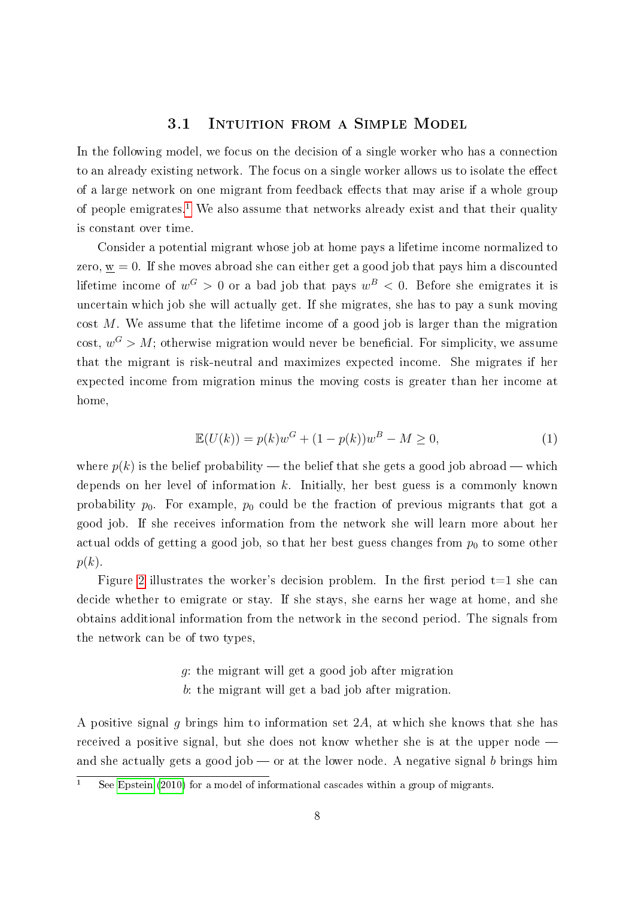#### 3.1 Intuition from a Simple Model

In the following model, we focus on the decision of a single worker who has a connection to an already existing network. The focus on a single worker allows us to isolate the effect of a large network on one migrant from feedback effects that may arise if a whole group of people emigrates.<sup>[1](#page-9-0)</sup> We also assume that networks already exist and that their quality is constant over time.

Consider a potential migrant whose job at home pays a lifetime income normalized to zero,  $\underline{w} = 0$ . If she moves abroad she can either get a good job that pays him a discounted lifetime income of  $w^G > 0$  or a bad job that pays  $w^B < 0$ . Before she emigrates it is uncertain which job she will actually get. If she migrates, she has to pay a sunk moving cost M. We assume that the lifetime income of a good job is larger than the migration cost,  $w^G > M$ ; otherwise migration would never be beneficial. For simplicity, we assume that the migrant is risk-neutral and maximizes expected income. She migrates if her expected income from migration minus the moving costs is greater than her income at home,

<span id="page-9-1"></span>
$$
\mathbb{E}(U(k)) = p(k)w^{G} + (1 - p(k))w^{B} - M \ge 0,
$$
\n(1)

where  $p(k)$  is the belief probability — the belief that she gets a good job abroad — which depends on her level of information  $k$ . Initially, her best guess is a commonly known probability  $p_0$ . For example,  $p_0$  could be the fraction of previous migrants that got a good job. If she receives information from the network she will learn more about her actual odds of getting a good job, so that her best guess changes from  $p_0$  to some other  $p(k)$ .

Figure [2](#page-11-0) illustrates the worker's decision problem. In the first period  $t=1$  she can decide whether to emigrate or stay. If she stays, she earns her wage at home, and she obtains additional information from the network in the second period. The signals from the network can be of two types,

## g: the migrant will get a good job after migration

b: the migrant will get a bad job after migration.

A positive signal q brings him to information set  $2A$ , at which she knows that she has received a positive signal, but she does not know whether she is at the upper node and she actually gets a good job  $\sim$  or at the lower node. A negative signal b brings him

<span id="page-9-0"></span> $\overline{1}$  See [Epstein](#page-40-6) [\(2010\)](#page-40-6) for a model of informational cascades within a group of migrants.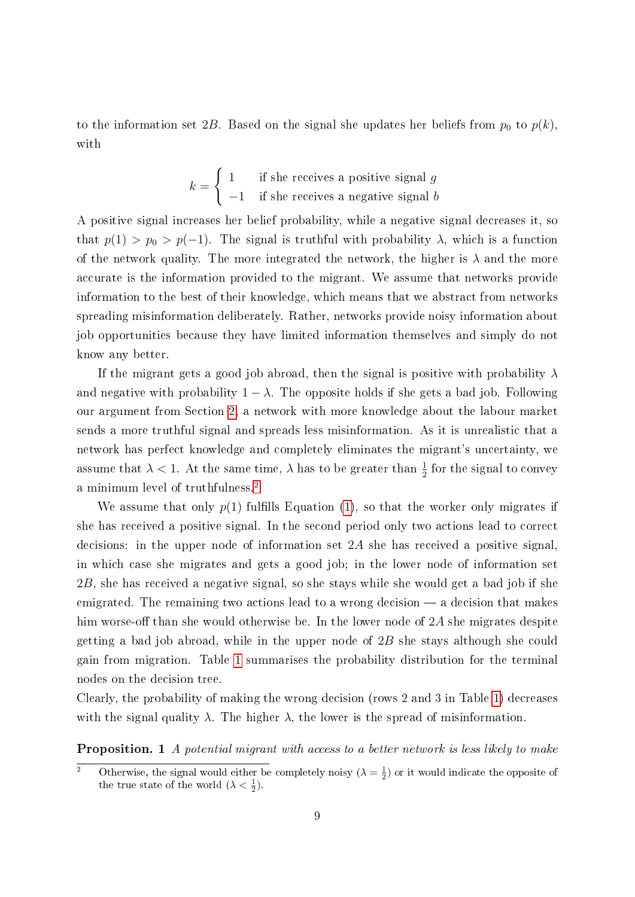to the information set 2B. Based on the signal she updates her beliefs from  $p_0$  to  $p(k)$ , with

$$
k = \begin{cases} 1 & \text{if she receives a positive signal } g \\ -1 & \text{if she receives a negative signal } b \end{cases}
$$

A positive signal increases her belief probability, while a negative signal decreases it, so that  $p(1) > p_0 > p(-1)$ . The signal is truthful with probability  $\lambda$ , which is a function of the network quality. The more integrated the network, the higher is  $\lambda$  and the more accurate is the information provided to the migrant. We assume that networks provide information to the best of their knowledge, which means that we abstract from networks spreading misinformation deliberately. Rather, networks provide noisy information about job opportunities because they have limited information themselves and simply do not know any better.

If the migrant gets a good job abroad, then the signal is positive with probability  $\lambda$ and negative with probability  $1 - \lambda$ . The opposite holds if she gets a bad job. Following our argument from Section [2,](#page-7-0) a network with more knowledge about the labour market sends a more truthful signal and spreads less misinformation. As it is unrealistic that a network has perfect knowledge and completely eliminates the migrant's uncertainty, we assume that  $\lambda < 1$ . At the same time,  $\lambda$  has to be greater than  $\frac{1}{2}$  for the signal to convey a minimum level of truthfulness.[2](#page-10-0)

We assume that only  $p(1)$  $p(1)$  fulfills Equation (1), so that the worker only migrates if she has received a positive signal. In the second period only two actions lead to correct decisions: in the upper node of information set 2A she has received a positive signal, in which case she migrates and gets a good job; in the lower node of information set 2B, she has received a negative signal, so she stays while she would get a bad job if she emigrated. The remaining two actions lead to a wrong decision  $-$  a decision that makes him worse-off than she would otherwise be. In the lower node of  $2A$  she migrates despite getting a bad job abroad, while in the upper node of 2B she stays although she could gain from migration. Table [1](#page-11-1) summarises the probability distribution for the terminal nodes on the decision tree.

Clearly, the probability of making the wrong decision (rows 2 and 3 in Table [1\)](#page-11-1) decreases with the signal quality  $\lambda$ . The higher  $\lambda$ , the lower is the spread of misinformation.

**Proposition.** 1 A potential migrant with access to a better network is less likely to make

<span id="page-10-0"></span><sup>&</sup>lt;sup>2</sup> Otherwise, the signal would either be completely noisy  $(\lambda = \frac{1}{2})$  or it would indicate the opposite of the true state of the world  $(\lambda < \frac{1}{2})$ .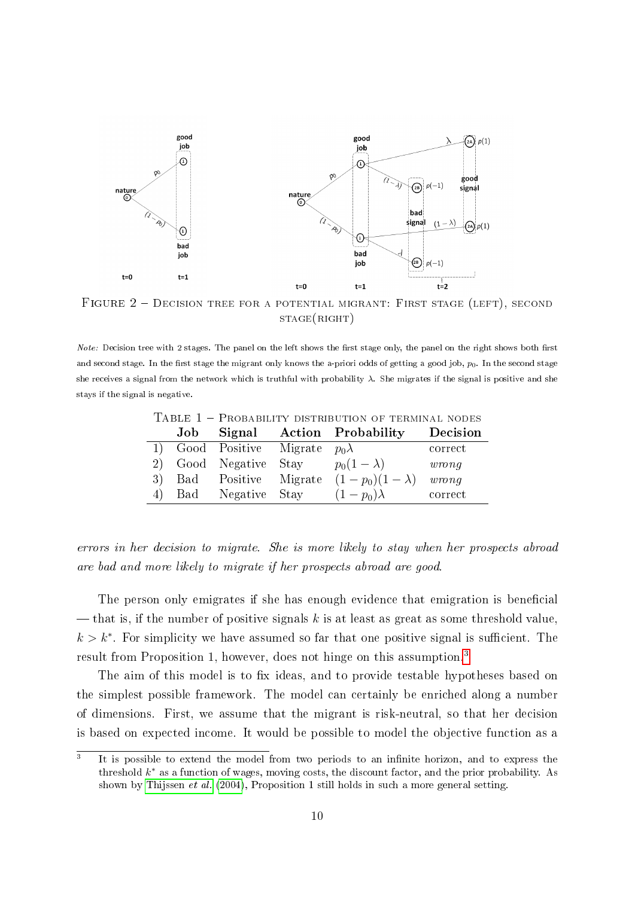<span id="page-11-0"></span>

FIGURE 2 - DECISION TREE FOR A POTENTIAL MIGRANT: FIRST STAGE (LEFT), SECOND  $STAGE(RIGHT)$ 

<span id="page-11-1"></span>

| <i>Note:</i> Decision tree with 2 stages. The panel on the left shows the first stage only, the panel on the right shows both first  |
|--------------------------------------------------------------------------------------------------------------------------------------|
| and second stage. In the first stage the migrant only knows the a-priori odds of getting a good job, $p_0$ . In the second stage     |
| she receives a signal from the network which is truthful with probability $\lambda$ . She migrates if the signal is positive and she |
| stays if the signal is negative.                                                                                                     |

| . |                                       | Job Signal Action Probability | Decision |
|---|---------------------------------------|-------------------------------|----------|
|   | 1) Good Positive Migrate $p_0\lambda$ |                               | correct  |
|   | 2) Good Negative Stay                 | $p_0(1-\lambda)$              | wrong    |
|   | 3) Bad Positive Migrate               | $(1-p_0)(1-\lambda)$ wrong    |          |
|   | 4) Bad Negative Stay                  | $(1-p_0)\lambda$              | correct  |

Table 1 Probability distribution of terminal nodes

errors in her decision to migrate. She is more likely to stay when her prospects abroad are bad and more likely to migrate if her prospects abroad are good.

The person only emigrates if she has enough evidence that emigration is beneficial — that is, if the number of positive signals k is at least as great as some threshold value,  $k > k^*$ . For simplicity we have assumed so far that one positive signal is sufficient. The result from Proposition 1, however, does not hinge on this assumption.<sup>[3](#page-11-2)</sup>

The aim of this model is to fix ideas, and to provide testable hypotheses based on the simplest possible framework. The model can certainly be enriched along a number of dimensions. First, we assume that the migrant is risk-neutral, so that her decision is based on expected income. It would be possible to model the objective function as a

<span id="page-11-2"></span><sup>3</sup> It is possible to extend the model from two periods to an infinite horizon, and to express the threshold  $k^*$  as a function of wages, moving costs, the discount factor, and the prior probability. As shown by [Thijssen](#page-43-3) et al. [\(2004\)](#page-43-3), Proposition 1 still holds in such a more general setting.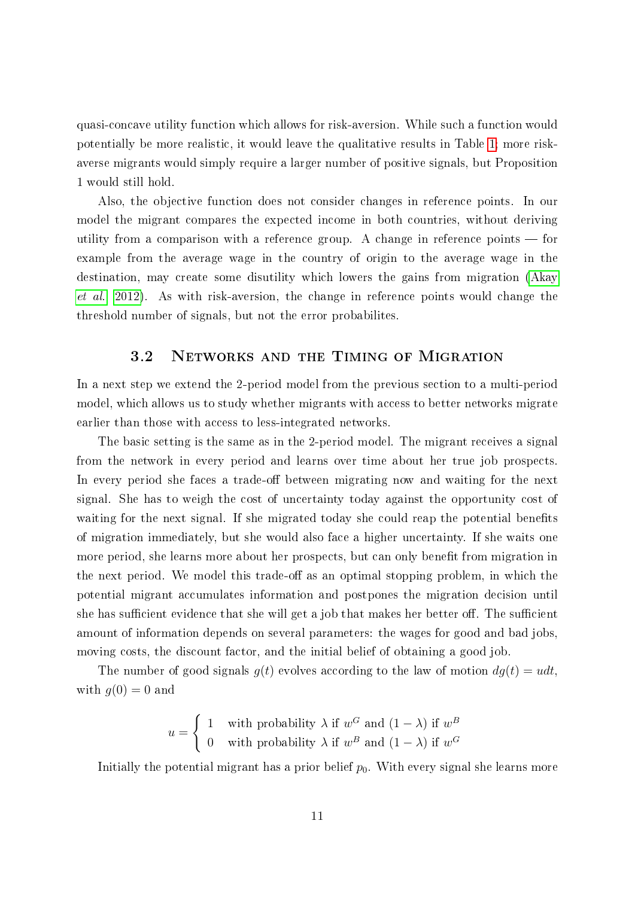quasi-concave utility function which allows for risk-aversion. While such a function would potentially be more realistic, it would leave the qualitative results in Table [1;](#page-11-1) more riskaverse migrants would simply require a larger number of positive signals, but Proposition 1 would still hold.

Also, the objective function does not consider changes in reference points. In our model the migrant compares the expected income in both countries, without deriving utility from a comparison with a reference group. A change in reference points  $\sim$  for example from the average wage in the country of origin to the average wage in the destination, may create some disutility which lowers the gains from migration [\(Akay](#page-38-6) [et al., 2012\)](#page-38-6). As with risk-aversion, the change in reference points would change the threshold number of signals, but not the error probabilites.

#### 3.2 Networks and the Timing of Migration

In a next step we extend the 2-period model from the previous section to a multi-period model, which allows us to study whether migrants with access to better networks migrate earlier than those with access to less-integrated networks.

The basic setting is the same as in the 2-period model. The migrant receives a signal from the network in every period and learns over time about her true job prospects. In every period she faces a trade-off between migrating now and waiting for the next signal. She has to weigh the cost of uncertainty today against the opportunity cost of waiting for the next signal. If she migrated today she could reap the potential benefits of migration immediately, but she would also face a higher uncertainty. If she waits one more period, she learns more about her prospects, but can only benefit from migration in the next period. We model this trade-off as an optimal stopping problem, in which the potential migrant accumulates information and postpones the migration decision until she has sufficient evidence that she will get a job that makes her better off. The sufficient amount of information depends on several parameters: the wages for good and bad jobs, moving costs, the discount factor, and the initial belief of obtaining a good job.

The number of good signals  $g(t)$  evolves according to the law of motion  $dg(t) = u dt$ , with  $q(0) = 0$  and

$$
u = \begin{cases} 1 & \text{with probability } \lambda \text{ if } w^G \text{ and } (1 - \lambda) \text{ if } w^B \\ 0 & \text{with probability } \lambda \text{ if } w^B \text{ and } (1 - \lambda) \text{ if } w^G \end{cases}
$$

Initially the potential migrant has a prior belief  $p_0$ . With every signal she learns more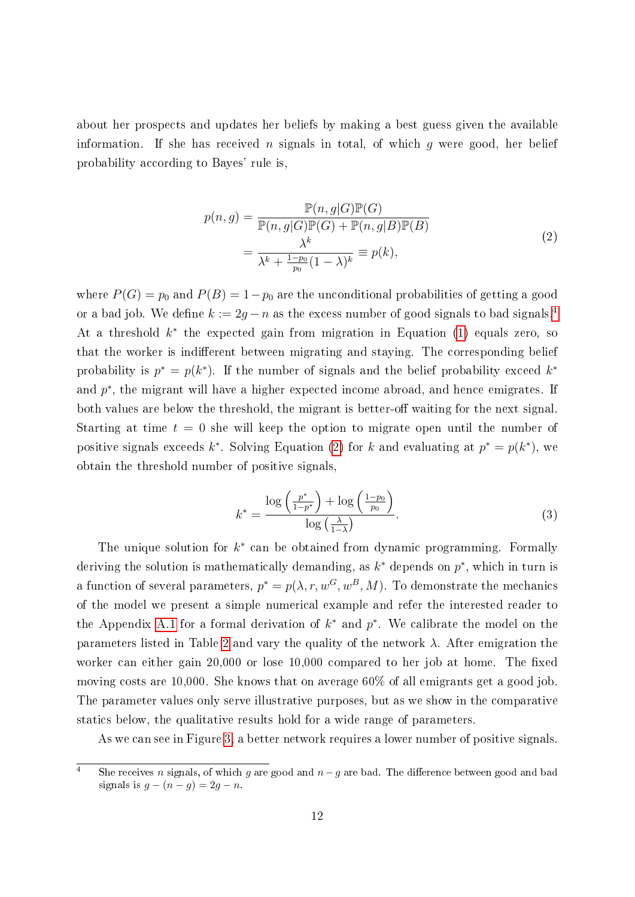about her prospects and updates her beliefs by making a best guess given the available information. If she has received n signals in total, of which g were good, her belief probability according to Bayes' rule is,

$$
p(n,g) = \frac{\mathbb{P}(n,g|G)\mathbb{P}(G)}{\mathbb{P}(n,g|G)\mathbb{P}(G) + \mathbb{P}(n,g|B)\mathbb{P}(B)}
$$
  
= 
$$
\frac{\lambda^k}{\lambda^k + \frac{1-p_0}{p_0}(1-\lambda)^k} \equiv p(k),
$$
 (2)

<span id="page-13-1"></span>where  $P(G) = p_0$  and  $P(B) = 1-p_0$  are the unconditional probabilities of getting a good or a bad job. We define  $k := 2g - n$  as the excess number of good signals to bad signals.<sup>[4](#page-13-0)</sup> At a threshold  $k^*$  the expected gain from migration in Equation [\(1\)](#page-9-1) equals zero, so that the worker is indifferent between migrating and staying. The corresponding belief probability is  $p^* = p(k^*)$ . If the number of signals and the belief probability exceed  $k^*$ and  $p^*$ , the migrant will have a higher expected income abroad, and hence emigrates. If both values are below the threshold, the migrant is better-off waiting for the next signal. Starting at time  $t = 0$  she will keep the option to migrate open until the number of positive signals exceeds k<sup>\*</sup>. Solving Equation [\(2\)](#page-13-1) for k and evaluating at  $p^* = p(k^*)$ , we obtain the threshold number of positive signals,

<span id="page-13-2"></span>
$$
k^* = \frac{\log\left(\frac{p^*}{1-p^*}\right) + \log\left(\frac{1-p_0}{p_0}\right)}{\log\left(\frac{\lambda}{1-\lambda}\right)}.\tag{3}
$$

The unique solution for  $k^*$  can be obtained from dynamic programming. Formally deriving the solution is mathematically demanding, as  $k^*$  depends on  $p^*$ , which in turn is a function of several parameters,  $p^* = p(\lambda, r, w^G, w^B, M)$ . To demonstrate the mechanics of the model we present a simple numerical example and refer the interested reader to the Appendix [A.1](#page-44-0) for a formal derivation of  $k^*$  and  $p^*$ . We calibrate the model on the parameters listed in Table [2](#page-14-0) and vary the quality of the network  $\lambda$ . After emigration the worker can either gain  $20,000$  or lose  $10,000$  compared to her job at home. The fixed moving costs are 10,000. She knows that on average 60% of all emigrants get a good job. The parameter values only serve illustrative purposes, but as we show in the comparative statics below, the qualitative results hold for a wide range of parameters.

As we can see in Figure [3,](#page-14-1) a better network requires a lower number of positive signals.

<span id="page-13-0"></span><sup>4</sup> She receives n signals, of which g are good and  $n-g$  are bad. The difference between good and bad signals is  $g - (n - g) = 2g - n$ .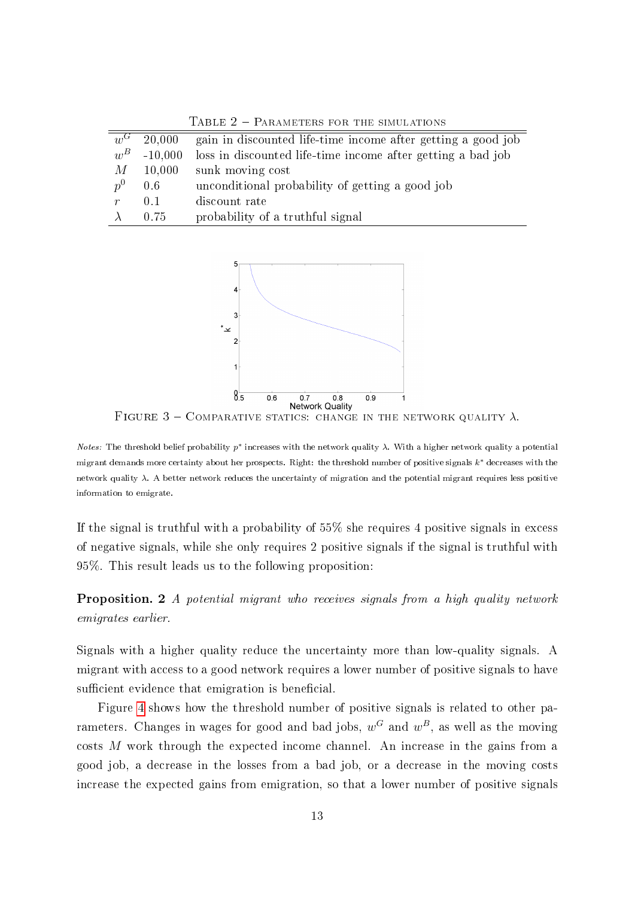<span id="page-14-1"></span><span id="page-14-0"></span>

| $w^G$            | 20,000    | gain in discounted life-time income after getting a good job |
|------------------|-----------|--------------------------------------------------------------|
| $w^B$            | $-10,000$ | loss in discounted life-time income after getting a bad job  |
| М                | 10,000    | sunk moving cost                                             |
| $p^0$            | 0.6       | unconditional probability of getting a good job              |
| $\boldsymbol{r}$ | 0.1       | discount rate                                                |
|                  | 0.75      | probability of a truthful signal                             |

TABLE  $2$  – PARAMETERS FOR THE SIMULATIONS



**Network Quality**<br>FIGURE 3 - COMPARATIVE STATICS: CHANGE IN THE NETWORK QUALITY  $\lambda$ .

Notes: The threshold belief probability  $p^*$  increases with the network quality  $\lambda$ . With a higher network quality a potential migrant demands more certainty about her prospects. Right: the threshold number of positive signals  $k^*$  decreases with the network quality  $\lambda$ . A better network reduces the uncertainty of migration and the potential migrant requires less positive information to emigrate.

If the signal is truthful with a probability of 55% she requires 4 positive signals in excess of negative signals, while she only requires 2 positive signals if the signal is truthful with 95%. This result leads us to the following proposition:

Proposition. 2 A potential migrant who receives signals from a high quality network emigrates earlier.

Signals with a higher quality reduce the uncertainty more than low-quality signals. A migrant with access to a good network requires a lower number of positive signals to have sufficient evidence that emigration is beneficial.

Figure [4](#page-16-0) shows how the threshold number of positive signals is related to other parameters. Changes in wages for good and bad jobs,  $w^G$  and  $w^B$ , as well as the moving costs M work through the expected income channel. An increase in the gains from a good job, a decrease in the losses from a bad job, or a decrease in the moving costs increase the expected gains from emigration, so that a lower number of positive signals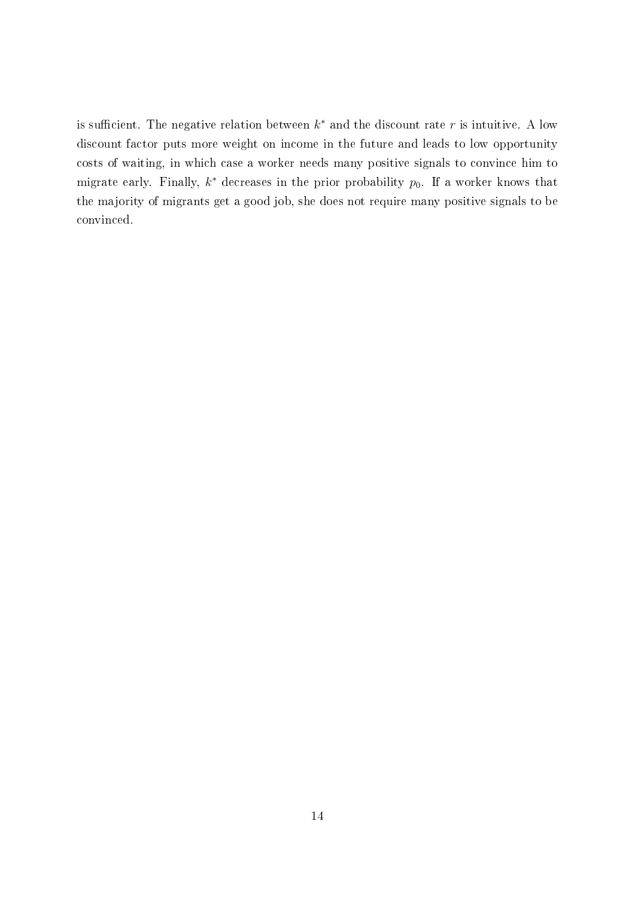is sufficient. The negative relation between  $k^*$  and the discount rate r is intuitive. A low discount factor puts more weight on income in the future and leads to low opportunity costs of waiting, in which case a worker needs many positive signals to convince him to migrate early. Finally,  $k^*$  decreases in the prior probability  $p_0$ . If a worker knows that the majority of migrants get a good job, she does not require many positive signals to be convinced.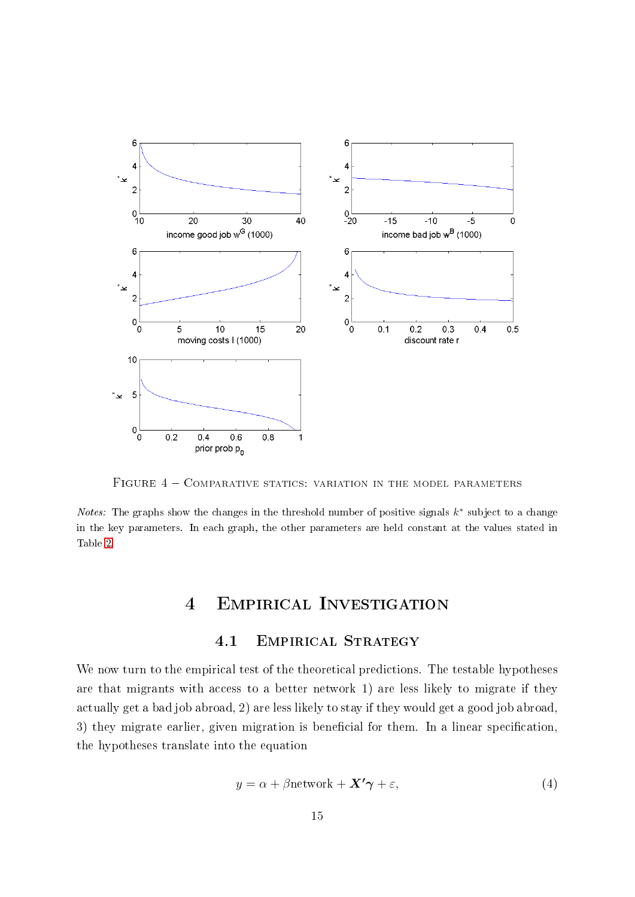<span id="page-16-0"></span>

FIGURE  $4$  – COMPARATIVE STATICS: VARIATION IN THE MODEL PARAMETERS

*Notes:* The graphs show the changes in the threshold number of positive signals  $k^*$  subject to a change in the key parameters. In each graph, the other parameters are held constant at the values stated in Table [2.](#page-14-0)

# 4 Empirical Investigation

### 4.1 Empirical Strategy

We now turn to the empirical test of the theoretical predictions. The testable hypotheses are that migrants with access to a better network 1) are less likely to migrate if they actually get a bad job abroad, 2) are less likely to stay if they would get a good job abroad, 3) they migrate earlier, given migration is beneficial for them. In a linear specification, the hypotheses translate into the equation

<span id="page-16-1"></span>
$$
y = \alpha + \beta \text{network} + \mathbf{X'}\boldsymbol{\gamma} + \varepsilon,\tag{4}
$$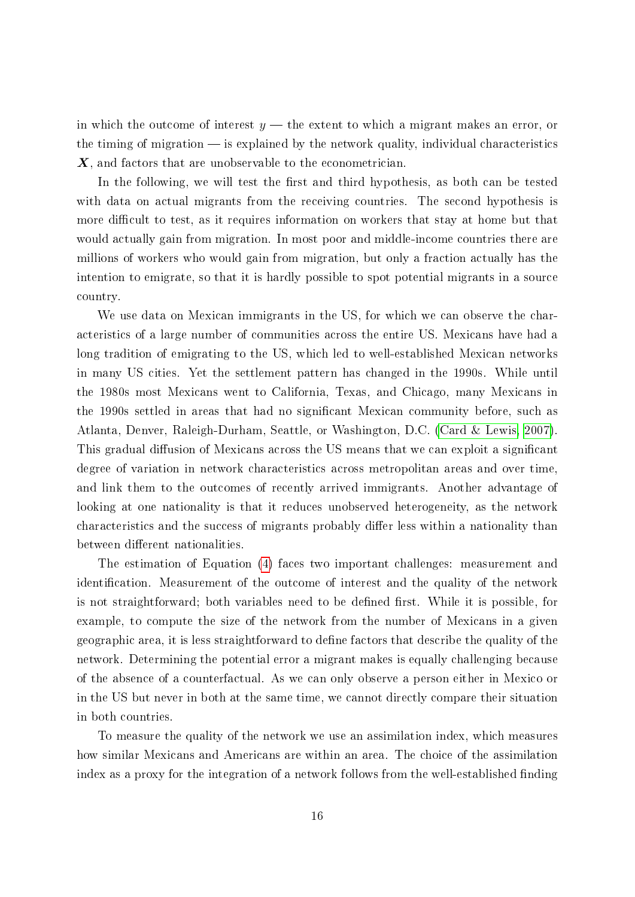in which the outcome of interest  $y$  – the extent to which a migrant makes an error, or the timing of migration  $\frac{1}{1}$  is explained by the network quality, individual characteristics X, and factors that are unobservable to the econometrician.

In the following, we will test the first and third hypothesis, as both can be tested with data on actual migrants from the receiving countries. The second hypothesis is more difficult to test, as it requires information on workers that stay at home but that would actually gain from migration. In most poor and middle-income countries there are millions of workers who would gain from migration, but only a fraction actually has the intention to emigrate, so that it is hardly possible to spot potential migrants in a source country.

We use data on Mexican immigrants in the US, for which we can observe the characteristics of a large number of communities across the entire US. Mexicans have had a long tradition of emigrating to the US, which led to well-established Mexican networks in many US cities. Yet the settlement pattern has changed in the 1990s. While until the 1980s most Mexicans went to California, Texas, and Chicago, many Mexicans in the 1990s settled in areas that had no signicant Mexican community before, such as Atlanta, Denver, Raleigh-Durham, Seattle, or Washington, D.C. [\(Card & Lewis, 2007\)](#page-39-6). This gradual diffusion of Mexicans across the US means that we can exploit a significant degree of variation in network characteristics across metropolitan areas and over time, and link them to the outcomes of recently arrived immigrants. Another advantage of looking at one nationality is that it reduces unobserved heterogeneity, as the network characteristics and the success of migrants probably differ less within a nationality than between different nationalities.

The estimation of Equation [\(4\)](#page-16-1) faces two important challenges: measurement and identification. Measurement of the outcome of interest and the quality of the network is not straightforward; both variables need to be defined first. While it is possible, for example, to compute the size of the network from the number of Mexicans in a given geographic area, it is less straightforward to define factors that describe the quality of the network. Determining the potential error a migrant makes is equally challenging because of the absence of a counterfactual. As we can only observe a person either in Mexico or in the US but never in both at the same time, we cannot directly compare their situation in both countries.

To measure the quality of the network we use an assimilation index, which measures how similar Mexicans and Americans are within an area. The choice of the assimilation index as a proxy for the integration of a network follows from the well-established finding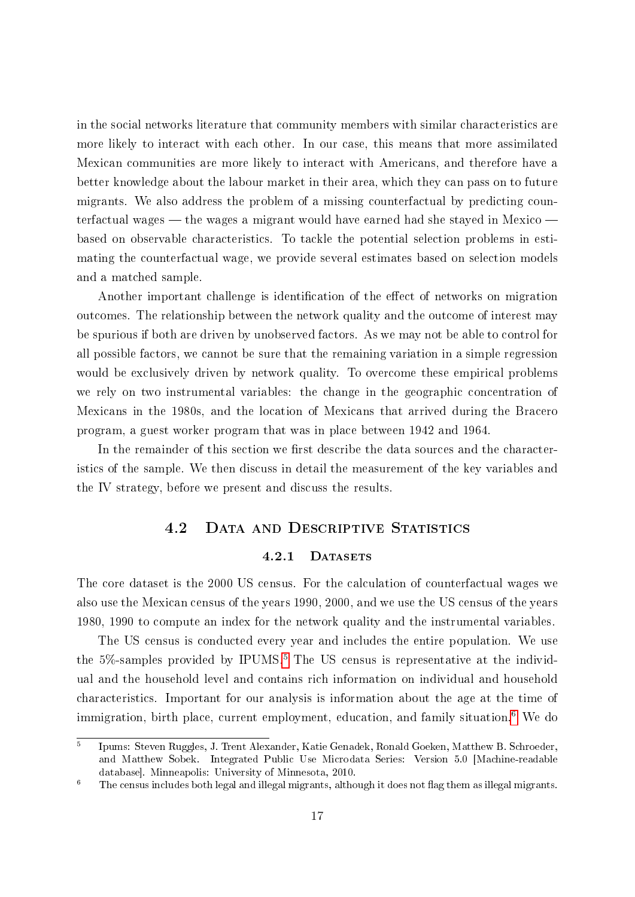in the social networks literature that community members with similar characteristics are more likely to interact with each other. In our case, this means that more assimilated Mexican communities are more likely to interact with Americans, and therefore have a better knowledge about the labour market in their area, which they can pass on to future migrants. We also address the problem of a missing counterfactual by predicting counterfactual wages — the wages a migrant would have earned had she stayed in Mexico based on observable characteristics. To tackle the potential selection problems in estimating the counterfactual wage, we provide several estimates based on selection models and a matched sample.

Another important challenge is identification of the effect of networks on migration outcomes. The relationship between the network quality and the outcome of interest may be spurious if both are driven by unobserved factors. As we may not be able to control for all possible factors, we cannot be sure that the remaining variation in a simple regression would be exclusively driven by network quality. To overcome these empirical problems we rely on two instrumental variables: the change in the geographic concentration of Mexicans in the 1980s, and the location of Mexicans that arrived during the Bracero program, a guest worker program that was in place between 1942 and 1964.

In the remainder of this section we first describe the data sources and the characteristics of the sample. We then discuss in detail the measurement of the key variables and the IV strategy, before we present and discuss the results.

## 4.2 Data and Descriptive Statistics

#### 4.2.1 DATASETS

The core dataset is the 2000 US census. For the calculation of counterfactual wages we also use the Mexican census of the years 1990, 2000, and we use the US census of the years 1980, 1990 to compute an index for the network quality and the instrumental variables.

The US census is conducted every year and includes the entire population. We use the  $5\%$  $5\%$ -samples provided by IPUMS.<sup>5</sup> The US census is representative at the individual and the household level and contains rich information on individual and household characteristics. Important for our analysis is information about the age at the time of immigration, birth place, current employment, education, and family situation.<sup>[6](#page-18-1)</sup> We do

<span id="page-18-0"></span><sup>5</sup> Ipums: Steven Ruggles, J. Trent Alexander, Katie Genadek, Ronald Goeken, Matthew B. Schroeder, and Matthew Sobek. Integrated Public Use Microdata Series: Version 5.0 [Machine-readable database]. Minneapolis: University of Minnesota, 2010.

<span id="page-18-1"></span> $6$  The census includes both legal and illegal migrants, although it does not flag them as illegal migrants.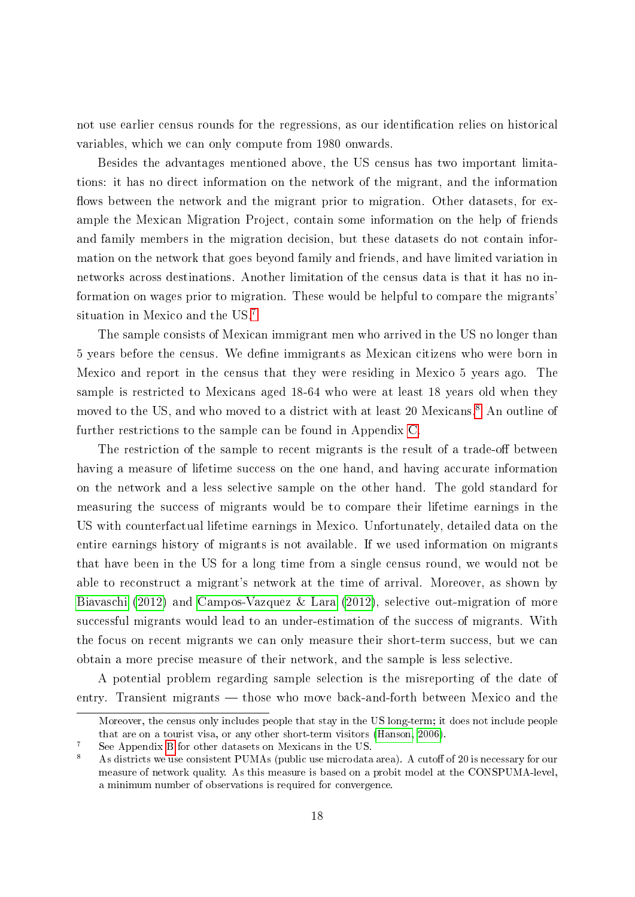not use earlier census rounds for the regressions, as our identification relies on historical variables, which we can only compute from 1980 onwards.

Besides the advantages mentioned above, the US census has two important limitations: it has no direct information on the network of the migrant, and the information flows between the network and the migrant prior to migration. Other datasets, for example the Mexican Migration Project, contain some information on the help of friends and family members in the migration decision, but these datasets do not contain information on the network that goes beyond family and friends, and have limited variation in networks across destinations. Another limitation of the census data is that it has no information on wages prior to migration. These would be helpful to compare the migrants' situation in Mexico and the US.[7](#page-19-0)

The sample consists of Mexican immigrant men who arrived in the US no longer than 5 years before the census. We define immigrants as Mexican citizens who were born in Mexico and report in the census that they were residing in Mexico 5 years ago. The sample is restricted to Mexicans aged 18-64 who were at least 18 years old when they moved to the US, and who moved to a district with at least 20 Mexicans.<sup>[8](#page-19-1)</sup> An outline of further restrictions to the sample can be found in Appendix [C.](#page-49-0)

The restriction of the sample to recent migrants is the result of a trade-off between having a measure of lifetime success on the one hand, and having accurate information on the network and a less selective sample on the other hand. The gold standard for measuring the success of migrants would be to compare their lifetime earnings in the US with counterfactual lifetime earnings in Mexico. Unfortunately, detailed data on the entire earnings history of migrants is not available. If we used information on migrants that have been in the US for a long time from a single census round, we would not be able to reconstruct a migrant's network at the time of arrival. Moreover, as shown by [Biavaschi](#page-39-7) [\(2012\)](#page-39-7) and [Campos-Vazquez & Lara](#page-39-8) [\(2012\)](#page-39-8), selective out-migration of more successful migrants would lead to an under-estimation of the success of migrants. With the focus on recent migrants we can only measure their short-term success, but we can obtain a more precise measure of their network, and the sample is less selective.

A potential problem regarding sample selection is the misreporting of the date of entry. Transient migrants — those who move back-and-forth between Mexico and the

Moreover, the census only includes people that stay in the US long-term; it does not include people that are on a tourist visa, or any other short-term visitors [\(Hanson, 2006\)](#page-41-6).

<span id="page-19-0"></span><sup>7</sup> See Appendix [B](#page-47-0) for other datasets on Mexicans in the US.

<span id="page-19-1"></span>As districts we use consistent PUMAs (public use microdata area). A cutoff of 20 is necessary for our measure of network quality. As this measure is based on a probit model at the CONSPUMA-level, a minimum number of observations is required for convergence.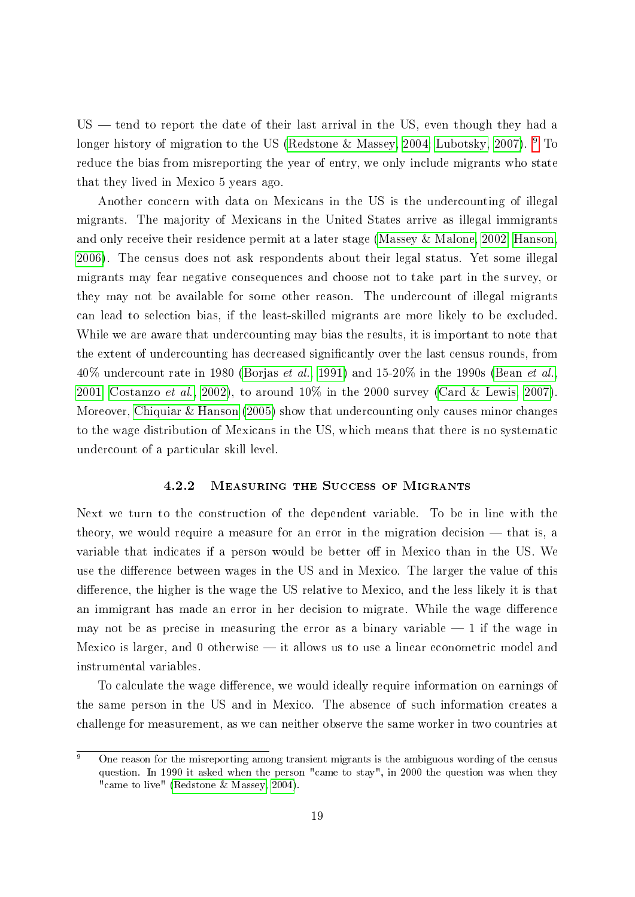$US$  tend to report the date of their last arrival in the US, even though they had a longer history of migration to the US [\(Redstone & Massey, 2004;](#page-42-6) [Lubotsky, 2007\)](#page-41-7).  $9\text{ Tc}$  $9\text{ Tc}$ reduce the bias from misreporting the year of entry, we only include migrants who state that they lived in Mexico 5 years ago.

Another concern with data on Mexicans in the US is the undercounting of illegal migrants. The majority of Mexicans in the United States arrive as illegal immigrants and only receive their residence permit at a later stage [\(Massey & Malone, 2002;](#page-42-7) [Hanson,](#page-41-6) [2006\)](#page-41-6). The census does not ask respondents about their legal status. Yet some illegal migrants may fear negative consequences and choose not to take part in the survey, or they may not be available for some other reason. The undercount of illegal migrants can lead to selection bias, if the least-skilled migrants are more likely to be excluded. While we are aware that undercounting may bias the results, it is important to note that the extent of undercounting has decreased significantly over the last census rounds, from 40% undercount rate in 1980 [\(Borjas](#page-39-9) *et al.*, [1991\)](#page-39-9) and 15-20% in the 1990s [\(Bean](#page-38-7) *et al.*, [2001;](#page-38-7) [Costanzo](#page-40-7) et al., [2002\)](#page-40-7), to around  $10\%$  in the 2000 survey [\(Card & Lewis, 2007\)](#page-39-6). Moreover, [Chiquiar & Hanson](#page-40-8) [\(2005\)](#page-40-8) show that undercounting only causes minor changes to the wage distribution of Mexicans in the US, which means that there is no systematic undercount of a particular skill level.

#### 4.2.2 Measuring the Success of Migrants

<span id="page-20-1"></span>Next we turn to the construction of the dependent variable. To be in line with the theory, we would require a measure for an error in the migration decision  $-$  that is, a variable that indicates if a person would be better off in Mexico than in the US. We use the difference between wages in the US and in Mexico. The larger the value of this difference, the higher is the wage the US relative to Mexico, and the less likely it is that an immigrant has made an error in her decision to migrate. While the wage difference may not be as precise in measuring the error as a binary variable  $-1$  if the wage in Mexico is larger, and  $0$  otherwise  $-$  it allows us to use a linear econometric model and instrumental variables.

To calculate the wage difference, we would ideally require information on earnings of the same person in the US and in Mexico. The absence of such information creates a challenge for measurement, as we can neither observe the same worker in two countries at

<span id="page-20-0"></span> $\overline{9}$  One reason for the misreporting among transient migrants is the ambiguous wording of the census question. In 1990 it asked when the person "came to stay", in 2000 the question was when they "came to live" [\(Redstone & Massey, 2004\)](#page-42-6).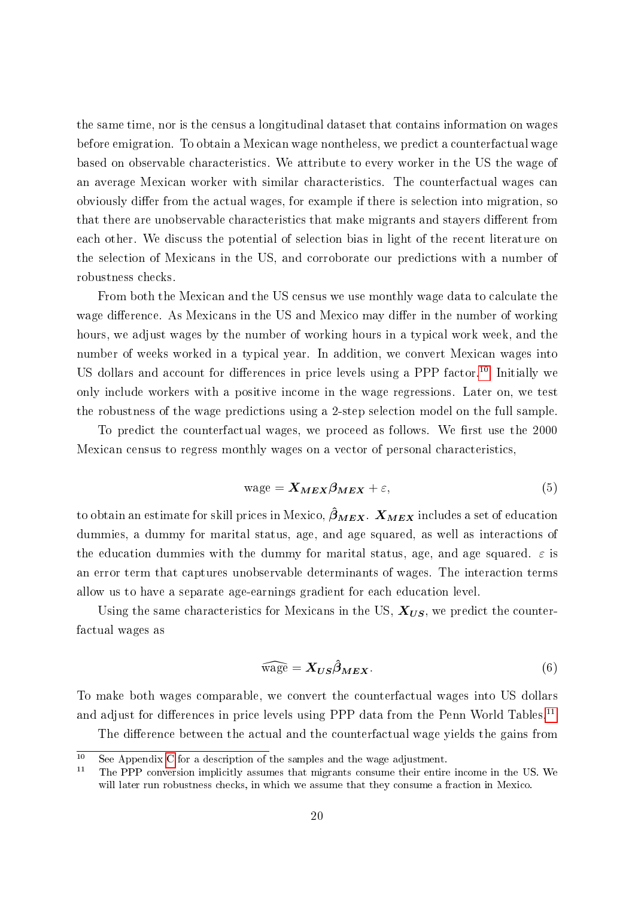the same time, nor is the census a longitudinal dataset that contains information on wages before emigration. To obtain a Mexican wage nontheless, we predict a counterfactual wage based on observable characteristics. We attribute to every worker in the US the wage of an average Mexican worker with similar characteristics. The counterfactual wages can obviously differ from the actual wages, for example if there is selection into migration, so that there are unobservable characteristics that make migrants and stayers different from each other. We discuss the potential of selection bias in light of the recent literature on the selection of Mexicans in the US, and corroborate our predictions with a number of robustness checks.

From both the Mexican and the US census we use monthly wage data to calculate the wage difference. As Mexicans in the US and Mexico may differ in the number of working hours, we adjust wages by the number of working hours in a typical work week, and the number of weeks worked in a typical year. In addition, we convert Mexican wages into US dollars and account for differences in price levels using a PPP factor.<sup>[10](#page-21-0)</sup> Initially we only include workers with a positive income in the wage regressions. Later on, we test the robustness of the wage predictions using a 2-step selection model on the full sample.

To predict the counterfactual wages, we proceed as follows. We first use the 2000 Mexican census to regress monthly wages on a vector of personal characteristics,

$$
wage = \mathbf{X}_{MEX} \beta_{MEX} + \varepsilon,\tag{5}
$$

to obtain an estimate for skill prices in Mexico,  $\hat{\beta}_{MEX}$ .  $X_{MEX}$  includes a set of education dummies, a dummy for marital status, age, and age squared, as well as interactions of the education dummies with the dummy for marital status, age, and age squared.  $\varepsilon$  is an error term that captures unobservable determinants of wages. The interaction terms allow us to have a separate age-earnings gradient for each education level.

Using the same characteristics for Mexicans in the US,  $X_{US}$ , we predict the counterfactual wages as

<span id="page-21-2"></span>
$$
\widehat{\text{wage}} = \mathbf{X}_{US} \widehat{\boldsymbol{\beta}}_{MEX}.
$$
\n(6)

To make both wages comparable, we convert the counterfactual wages into US dollars and adjust for differences in price levels using PPP data from the Penn World Tables.<sup>[11](#page-21-1)</sup>

<span id="page-21-0"></span>The difference between the actual and the counterfactual wage yields the gains from

 $\frac{10}{10}$  See Appendix [C](#page-49-0) for a description of the samples and the wage adjustment.

<span id="page-21-1"></span><sup>11</sup> The PPP conversion implicitly assumes that migrants consume their entire income in the US. We will later run robustness checks, in which we assume that they consume a fraction in Mexico.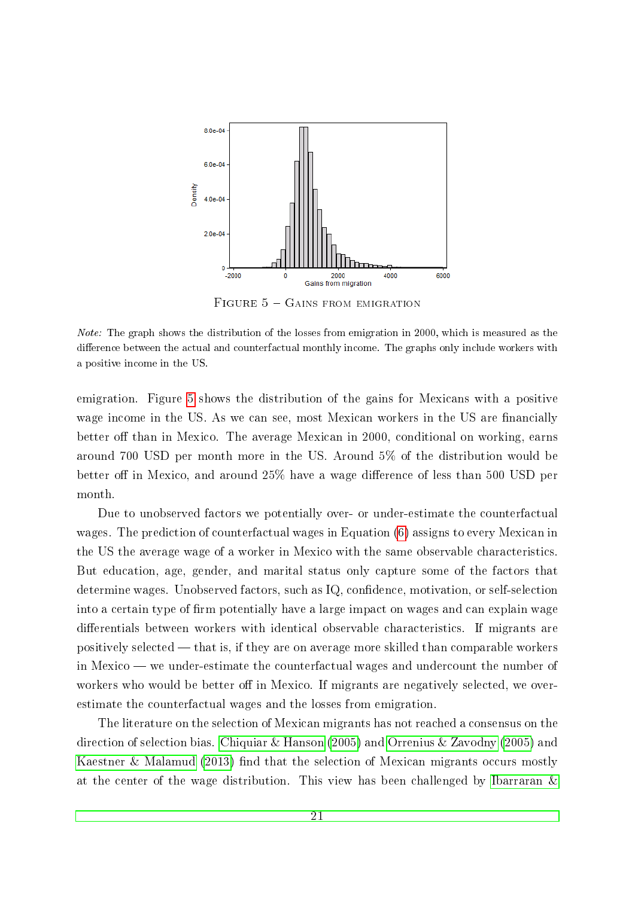<span id="page-22-0"></span>

FIGURE  $5 -$  Gains from emigration

Note: The graph shows the distribution of the losses from emigration in 2000, which is measured as the difference between the actual and counterfactual monthly income. The graphs only include workers with a positive income in the US.

emigration. Figure [5](#page-22-0) shows the distribution of the gains for Mexicans with a positive wage income in the US. As we can see, most Mexican workers in the US are financially better off than in Mexico. The average Mexican in 2000, conditional on working, earns around 700 USD per month more in the US. Around 5% of the distribution would be better off in Mexico, and around 25% have a wage difference of less than 500 USD per month.

Due to unobserved factors we potentially over- or under-estimate the counterfactual wages. The prediction of counterfactual wages in Equation [\(6\)](#page-21-2) assigns to every Mexican in the US the average wage of a worker in Mexico with the same observable characteristics. But education, age, gender, and marital status only capture some of the factors that determine wages. Unobserved factors, such as IQ, confidence, motivation, or self-selection into a certain type of firm potentially have a large impact on wages and can explain wage differentials between workers with identical observable characteristics. If migrants are positively selected  $-$  that is, if they are on average more skilled than comparable workers in Mexico  $-$  we under-estimate the counterfactual wages and undercount the number of workers who would be better off in Mexico. If migrants are negatively selected, we overestimate the counterfactual wages and the losses from emigration.

The literature on the selection of Mexican migrants has not reached a consensus on the direction of selection bias. [Chiquiar & Hanson](#page-40-8) [\(2005\)](#page-40-8) and [Orrenius & Zavodny](#page-42-8) [\(2005\)](#page-42-8) and [Kaestner & Malamud](#page-41-8)  $(2013)$  find that the selection of Mexican migrants occurs mostly at the center of the wage distribution. This view has been challenged by [Ibarraran &](#page-41-9)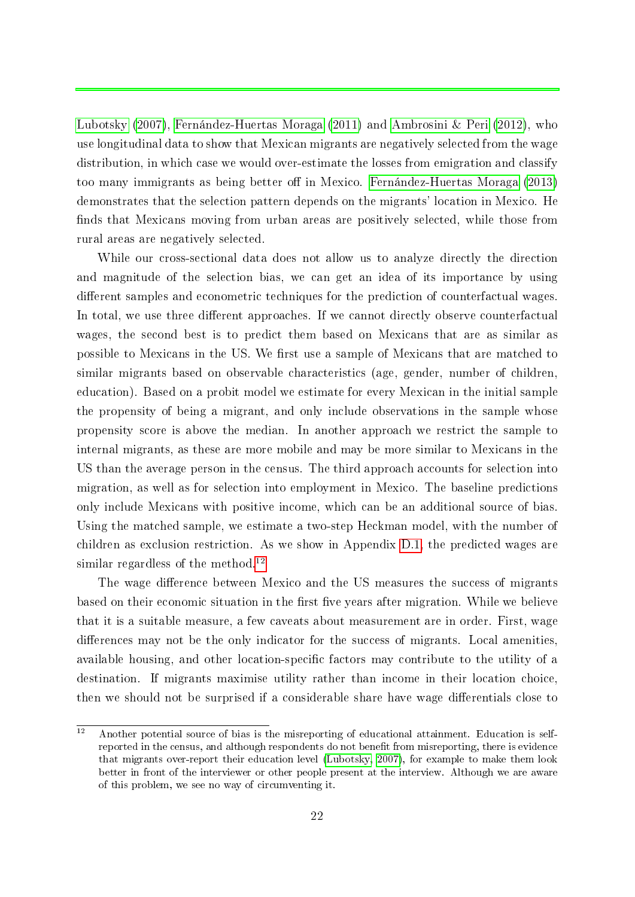[Lubotsky](#page-41-9) [\(2007\)](#page-41-9), [Fernández-Huertas Moraga](#page-40-9) [\(2011\)](#page-40-9) and [Ambrosini & Peri](#page-38-8) [\(2012\)](#page-38-8), who use longitudinal data to show that Mexican migrants are negatively selected from the wage distribution, in which case we would over-estimate the losses from emigration and classify too many immigrants as being better off in Mexico. [Fernández-Huertas Moraga](#page-40-10) [\(2013\)](#page-40-10) demonstrates that the selection pattern depends on the migrants' location in Mexico. He finds that Mexicans moving from urban areas are positively selected, while those from rural areas are negatively selected.

While our cross-sectional data does not allow us to analyze directly the direction and magnitude of the selection bias, we can get an idea of its importance by using different samples and econometric techniques for the prediction of counterfactual wages. In total, we use three different approaches. If we cannot directly observe counterfactual wages, the second best is to predict them based on Mexicans that are as similar as possible to Mexicans in the US. We first use a sample of Mexicans that are matched to similar migrants based on observable characteristics (age, gender, number of children, education). Based on a probit model we estimate for every Mexican in the initial sample the propensity of being a migrant, and only include observations in the sample whose propensity score is above the median. In another approach we restrict the sample to internal migrants, as these are more mobile and may be more similar to Mexicans in the US than the average person in the census. The third approach accounts for selection into migration, as well as for selection into employment in Mexico. The baseline predictions only include Mexicans with positive income, which can be an additional source of bias. Using the matched sample, we estimate a two-step Heckman model, with the number of children as exclusion restriction. As we show in Appendix [D.1,](#page-52-0) the predicted wages are similar regardless of the method.<sup>[12](#page-23-0)</sup>

The wage difference between Mexico and the US measures the success of migrants based on their economic situation in the first five years after migration. While we believe that it is a suitable measure, a few caveats about measurement are in order. First, wage differences may not be the only indicator for the success of migrants. Local amenities, available housing, and other location-specific factors may contribute to the utility of a destination. If migrants maximise utility rather than income in their location choice, then we should not be surprised if a considerable share have wage differentials close to

<span id="page-23-0"></span> $\overline{12}$  Another potential source of bias is the misreporting of educational attainment. Education is selfreported in the census, and although respondents do not benefit from misreporting, there is evidence that migrants over-report their education level [\(Lubotsky, 2007\)](#page-41-7), for example to make them look better in front of the interviewer or other people present at the interview. Although we are aware of this problem, we see no way of circumventing it.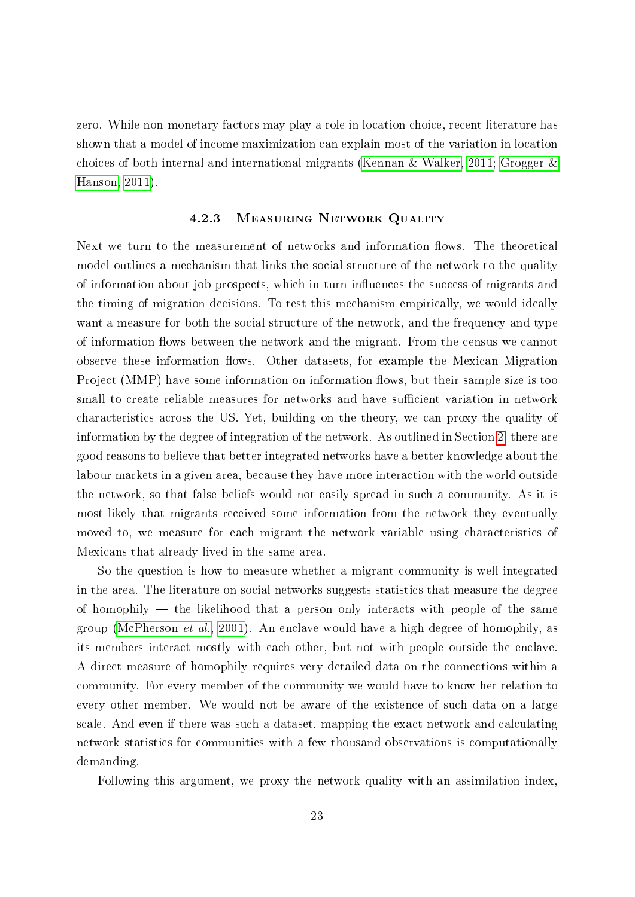zero. While non-monetary factors may play a role in location choice, recent literature has shown that a model of income maximization can explain most of the variation in location choices of both internal and international migrants [\(Kennan & Walker, 2011;](#page-41-10) [Grogger &](#page-41-11) [Hanson, 2011\)](#page-41-11).

#### 4.2.3 Measuring Network Quality

Next we turn to the measurement of networks and information flows. The theoretical model outlines a mechanism that links the social structure of the network to the quality of information about job prospects, which in turn influences the success of migrants and the timing of migration decisions. To test this mechanism empirically, we would ideally want a measure for both the social structure of the network, and the frequency and type of information flows between the network and the migrant. From the census we cannot observe these information flows. Other datasets, for example the Mexican Migration Project (MMP) have some information on information flows, but their sample size is too small to create reliable measures for networks and have sufficient variation in network characteristics across the US. Yet, building on the theory, we can proxy the quality of information by the degree of integration of the network. As outlined in Section [2,](#page-7-0) there are good reasons to believe that better integrated networks have a better knowledge about the labour markets in a given area, because they have more interaction with the world outside the network, so that false beliefs would not easily spread in such a community. As it is most likely that migrants received some information from the network they eventually moved to, we measure for each migrant the network variable using characteristics of Mexicans that already lived in the same area.

So the question is how to measure whether a migrant community is well-integrated in the area. The literature on social networks suggests statistics that measure the degree of homophily  $-$  the likelihood that a person only interacts with people of the same group [\(McPherson](#page-42-5) et al., [2001\)](#page-42-5). An enclave would have a high degree of homophily, as its members interact mostly with each other, but not with people outside the enclave. A direct measure of homophily requires very detailed data on the connections within a community. For every member of the community we would have to know her relation to every other member. We would not be aware of the existence of such data on a large scale. And even if there was such a dataset, mapping the exact network and calculating network statistics for communities with a few thousand observations is computationally demanding.

Following this argument, we proxy the network quality with an assimilation index,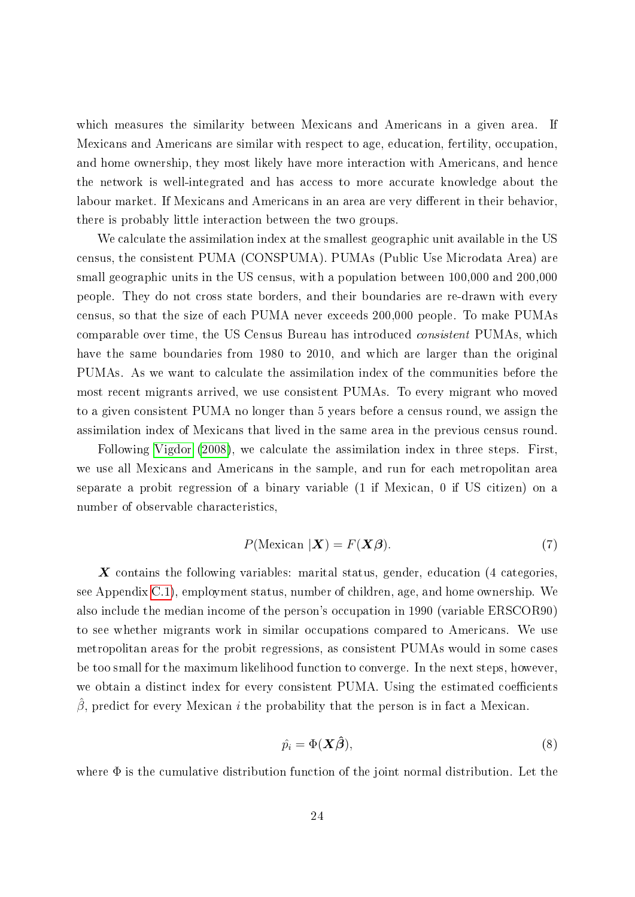which measures the similarity between Mexicans and Americans in a given area. If Mexicans and Americans are similar with respect to age, education, fertility, occupation, and home ownership, they most likely have more interaction with Americans, and hence the network is well-integrated and has access to more accurate knowledge about the labour market. If Mexicans and Americans in an area are very different in their behavior, there is probably little interaction between the two groups.

We calculate the assimilation index at the smallest geographic unit available in the US census, the consistent PUMA (CONSPUMA). PUMAs (Public Use Microdata Area) are small geographic units in the US census, with a population between 100,000 and 200,000 people. They do not cross state borders, and their boundaries are re-drawn with every census, so that the size of each PUMA never exceeds 200,000 people. To make PUMAs comparable over time, the US Census Bureau has introduced consistent PUMAs, which have the same boundaries from 1980 to 2010, and which are larger than the original PUMAs. As we want to calculate the assimilation index of the communities before the most recent migrants arrived, we use consistent PUMAs. To every migrant who moved to a given consistent PUMA no longer than 5 years before a census round, we assign the assimilation index of Mexicans that lived in the same area in the previous census round.

Following [Vigdor](#page-43-4) [\(2008\)](#page-43-4), we calculate the assimilation index in three steps. First, we use all Mexicans and Americans in the sample, and run for each metropolitan area separate a probit regression of a binary variable (1 if Mexican, 0 if US citizen) on a number of observable characteristics,

$$
P(\text{Mexican } |\mathbf{X}) = F(\mathbf{X}\boldsymbol{\beta}).\tag{7}
$$

 $\boldsymbol{X}$  contains the following variables: marital status, gender, education (4 categories, see Appendix [C.1\)](#page-49-1), employment status, number of children, age, and home ownership. We also include the median income of the person's occupation in 1990 (variable ERSCOR90) to see whether migrants work in similar occupations compared to Americans. We use metropolitan areas for the probit regressions, as consistent PUMAs would in some cases be too small for the maximum likelihood function to converge. In the next steps, however, we obtain a distinct index for every consistent PUMA. Using the estimated coefficients  $\beta$ , predict for every Mexican *i* the probability that the person is in fact a Mexican.

$$
\hat{p}_i = \Phi(\mathbf{X}\hat{\boldsymbol{\beta}}),\tag{8}
$$

where  $\Phi$  is the cumulative distribution function of the joint normal distribution. Let the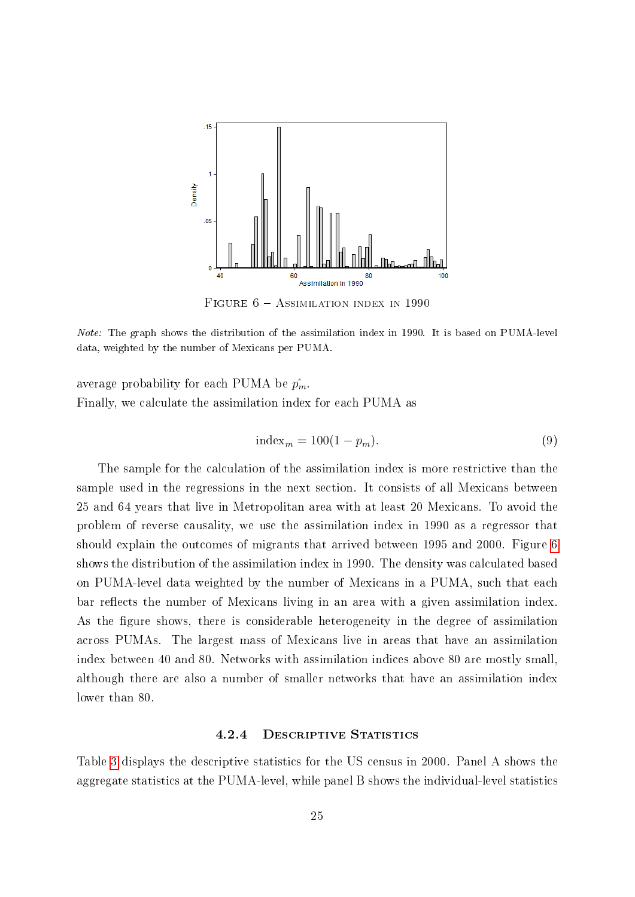<span id="page-26-0"></span>

FIGURE  $6 -$  Assimilation index in 1990

Note: The graph shows the distribution of the assimilation index in 1990. It is based on PUMA-level data, weighted by the number of Mexicans per PUMA.

average probability for each PUMA be  $\hat{p_m}$ . Finally, we calculate the assimilation index for each PUMA as

$$
index_m = 100(1 - p_m). \tag{9}
$$

The sample for the calculation of the assimilation index is more restrictive than the sample used in the regressions in the next section. It consists of all Mexicans between 25 and 64 years that live in Metropolitan area with at least 20 Mexicans. To avoid the problem of reverse causality, we use the assimilation index in 1990 as a regressor that should explain the outcomes of migrants that arrived between 1995 and 2000. Figure [6](#page-26-0) shows the distribution of the assimilation index in 1990. The density was calculated based on PUMA-level data weighted by the number of Mexicans in a PUMA, such that each bar reflects the number of Mexicans living in an area with a given assimilation index. As the figure shows, there is considerable heterogeneity in the degree of assimilation across PUMAs. The largest mass of Mexicans live in areas that have an assimilation index between 40 and 80. Networks with assimilation indices above 80 are mostly small, although there are also a number of smaller networks that have an assimilation index lower than 80.

#### 4.2.4 DESCRIPTIVE STATISTICS

Table [3](#page-27-0) displays the descriptive statistics for the US census in 2000. Panel A shows the aggregate statistics at the PUMA-level, while panel B shows the individual-level statistics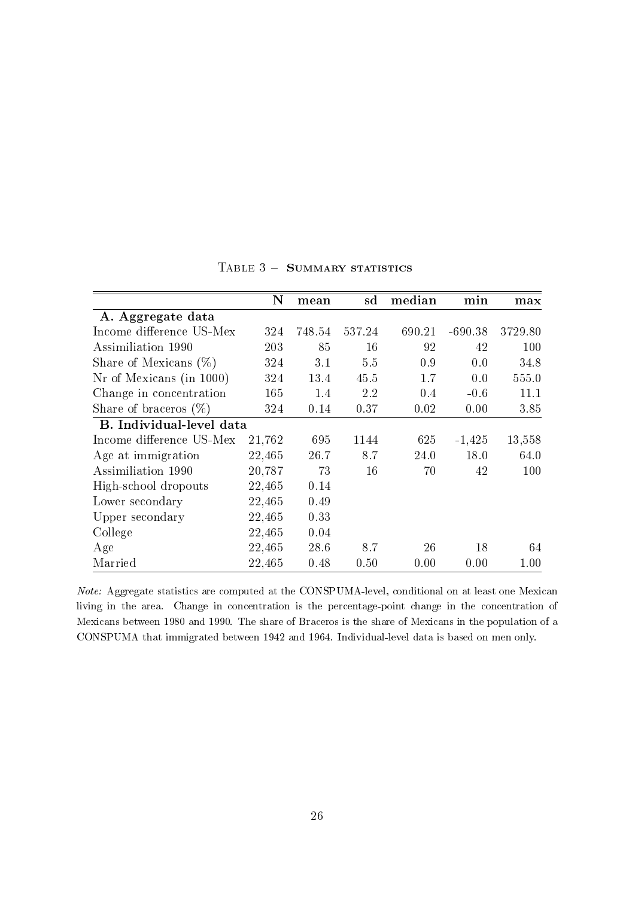<span id="page-27-0"></span>

|                          | $\bf N$ | mean   | sd     | median | min       | max      |
|--------------------------|---------|--------|--------|--------|-----------|----------|
| A. Aggregate data        |         |        |        |        |           |          |
| Income difference US-Mex | 324     | 748.54 | 537.24 | 690.21 | $-690.38$ | 3729.80  |
| Assimiliation 1990       | 203     | 85     | 16     | 92     | 42        | 100      |
| Share of Mexicans $(\%)$ | 324     | 3.1    | 5.5    | 0.9    | 0.0       | 34.8     |
| Nr of Mexicans (in 1000) | 324     | 13.4   | 45.5   | 1.7    | 0.0       | 555.0    |
| Change in concentration  | 165     | 1.4    | 2.2    | 0.4    | $-0.6$    | 11.1     |
| Share of braceros $(\%)$ | 324     | 0.14   | 0.37   | 0.02   | 0.00      | 3.85     |
| B. Individual-level data |         |        |        |        |           |          |
| Income difference US-Mex | 21,762  | 695    | 1144   | 625    | $-1,425$  | 13,558   |
| Age at immigration       | 22,465  | 26.7   | 8.7    | 24.0   | 18.0      | 64.0     |
| Assimiliation 1990       | 20,787  | 73     | 16     | 70     | 42        | 100      |
| High-school dropouts     | 22,465  | 0.14   |        |        |           |          |
| Lower secondary          | 22,465  | 0.49   |        |        |           |          |
| Upper secondary          | 22,465  | 0.33   |        |        |           |          |
| College                  | 22,465  | 0.04   |        |        |           |          |
| Age                      | 22,465  | 28.6   | 8.7    | 26     | 18        | 64       |
| Married                  | 22,465  | 0.48   | 0.50   | 0.00   | 0.00      | $1.00\,$ |

TABLE  $3 -$  SUMMARY STATISTICS

Note: Aggregate statistics are computed at the CONSPUMA-level, conditional on at least one Mexican living in the area. Change in concentration is the percentage-point change in the concentration of Mexicans between 1980 and 1990. The share of Braceros is the share of Mexicans in the population of a CONSPUMA that immigrated between 1942 and 1964. Individual-level data is based on men only.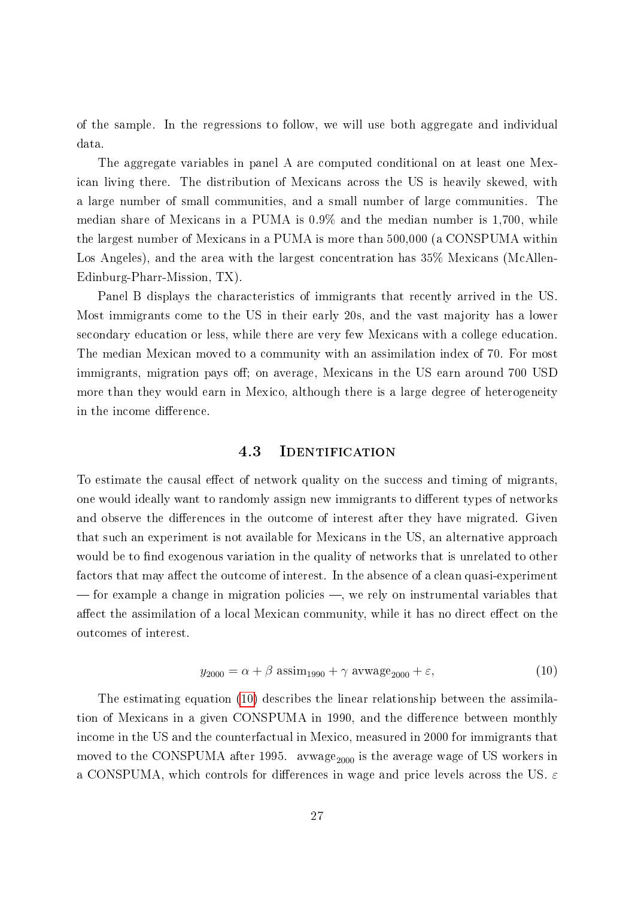of the sample. In the regressions to follow, we will use both aggregate and individual data.

The aggregate variables in panel A are computed conditional on at least one Mexican living there. The distribution of Mexicans across the US is heavily skewed, with a large number of small communities, and a small number of large communities. The median share of Mexicans in a PUMA is 0.9% and the median number is 1,700, while the largest number of Mexicans in a PUMA is more than 500,000 (a CONSPUMA within Los Angeles), and the area with the largest concentration has 35% Mexicans (McAllen-Edinburg-Pharr-Mission, TX).

Panel B displays the characteristics of immigrants that recently arrived in the US. Most immigrants come to the US in their early 20s, and the vast majority has a lower secondary education or less, while there are very few Mexicans with a college education. The median Mexican moved to a community with an assimilation index of 70. For most immigrants, migration pays off; on average, Mexicans in the US earn around 700 USD more than they would earn in Mexico, although there is a large degree of heterogeneity in the income difference.

#### 4.3 IDENTIFICATION

To estimate the causal effect of network quality on the success and timing of migrants, one would ideally want to randomly assign new immigrants to different types of networks and observe the differences in the outcome of interest after they have migrated. Given that such an experiment is not available for Mexicans in the US, an alternative approach would be to find exogenous variation in the quality of networks that is unrelated to other factors that may affect the outcome of interest. In the absence of a clean quasi-experiment  $f$  for example a change in migration policies  $-$ , we rely on instrumental variables that affect the assimilation of a local Mexican community, while it has no direct effect on the outcomes of interest.

<span id="page-28-0"></span>
$$
y_{2000} = \alpha + \beta \text{ assim}_{1990} + \gamma \text{awwage}_{2000} + \varepsilon,
$$
\n(10)

The estimating equation [\(10\)](#page-28-0) describes the linear relationship between the assimilation of Mexicans in a given CONSPUMA in 1990, and the difference between monthly income in the US and the counterfactual in Mexico, measured in 2000 for immigrants that moved to the CONSPUMA after 1995. avwage<sub>2000</sub> is the average wage of US workers in a CONSPUMA, which controls for differences in wage and price levels across the US.  $\varepsilon$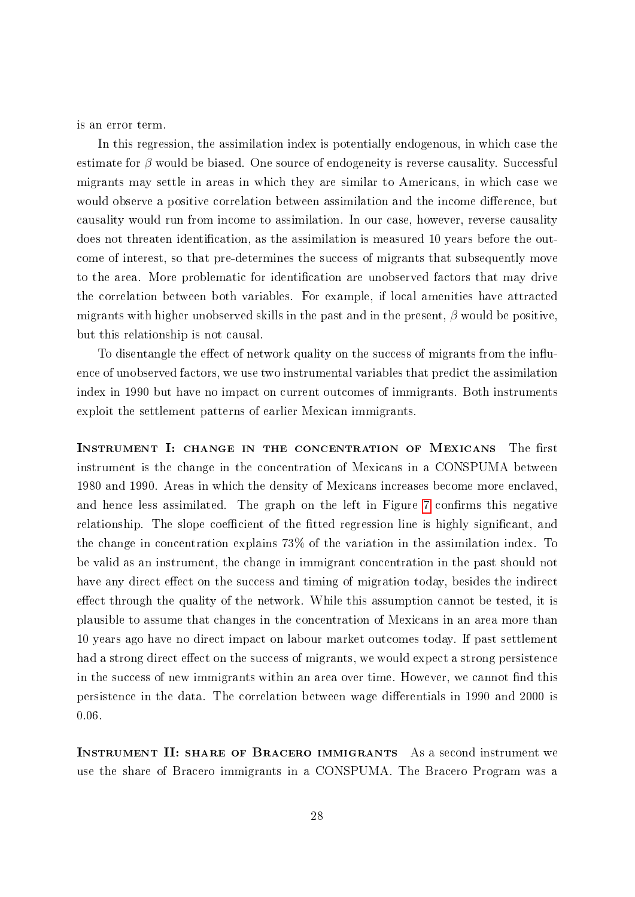is an error term.

In this regression, the assimilation index is potentially endogenous, in which case the estimate for  $\beta$  would be biased. One source of endogeneity is reverse causality. Successful migrants may settle in areas in which they are similar to Americans, in which case we would observe a positive correlation between assimilation and the income difference, but causality would run from income to assimilation. In our case, however, reverse causality does not threaten identification, as the assimilation is measured 10 years before the outcome of interest, so that pre-determines the success of migrants that subsequently move to the area. More problematic for identification are unobserved factors that may drive the correlation between both variables. For example, if local amenities have attracted migrants with higher unobserved skills in the past and in the present,  $\beta$  would be positive, but this relationship is not causal.

To disentangle the effect of network quality on the success of migrants from the influence of unobserved factors, we use two instrumental variables that predict the assimilation index in 1990 but have no impact on current outcomes of immigrants. Both instruments exploit the settlement patterns of earlier Mexican immigrants.

INSTRUMENT I: CHANGE IN THE CONCENTRATION OF MEXICANS The first instrument is the change in the concentration of Mexicans in a CONSPUMA between 1980 and 1990. Areas in which the density of Mexicans increases become more enclaved, and hence less assimilated. The graph on the left in Figure [7](#page-30-0) confirms this negative relationship. The slope coefficient of the fitted regression line is highly significant, and the change in concentration explains 73% of the variation in the assimilation index. To be valid as an instrument, the change in immigrant concentration in the past should not have any direct effect on the success and timing of migration today, besides the indirect effect through the quality of the network. While this assumption cannot be tested, it is plausible to assume that changes in the concentration of Mexicans in an area more than 10 years ago have no direct impact on labour market outcomes today. If past settlement had a strong direct effect on the success of migrants, we would expect a strong persistence in the success of new immigrants within an area over time. However, we cannot find this persistence in the data. The correlation between wage differentials in 1990 and 2000 is 0.06.

Instrument II: share of Bracero immigrants As a second instrument we use the share of Bracero immigrants in a CONSPUMA. The Bracero Program was a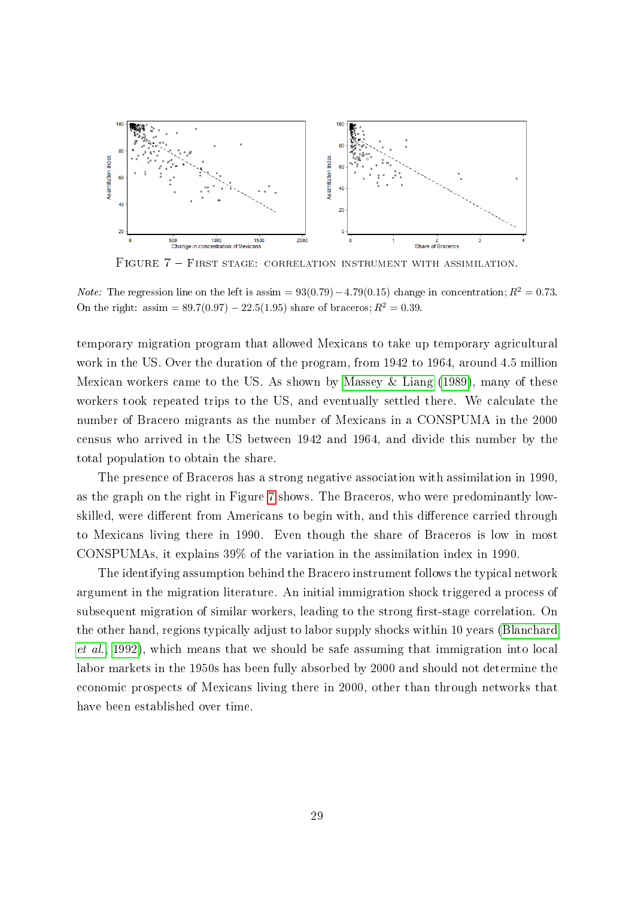<span id="page-30-0"></span>

FIGURE 7 - FIRST STAGE: CORRELATION INSTRUMENT WITH ASSIMILATION.

*Note:* The regression line on the left is assim =  $93(0.79) - 4.79(0.15)$  change in concentration;  $R^2 = 0.73$ . On the right: assim =  $89.7(0.97) - 22.5(1.95)$  share of braceros;  $R^2 = 0.39$ .

temporary migration program that allowed Mexicans to take up temporary agricultural work in the US. Over the duration of the program, from 1942 to 1964, around 4.5 million Mexican workers came to the US. As shown by [Massey & Liang](#page-42-9) [\(1989\)](#page-42-9), many of these workers took repeated trips to the US, and eventually settled there. We calculate the number of Bracero migrants as the number of Mexicans in a CONSPUMA in the 2000 census who arrived in the US between 1942 and 1964, and divide this number by the total population to obtain the share.

The presence of Braceros has a strong negative association with assimilation in 1990, as the graph on the right in Figure [7](#page-30-0) shows. The Braceros, who were predominantly lowskilled, were different from Americans to begin with, and this difference carried through to Mexicans living there in 1990. Even though the share of Braceros is low in most CONSPUMAs, it explains 39% of the variation in the assimilation index in 1990.

The identifying assumption behind the Bracero instrument follows the typical network argument in the migration literature. An initial immigration shock triggered a process of subsequent migration of similar workers, leading to the strong first-stage correlation. On the other hand, regions typically adjust to labor supply shocks within 10 years [\(Blanchard](#page-39-10) [et al., 1992\)](#page-39-10), which means that we should be safe assuming that immigration into local labor markets in the 1950s has been fully absorbed by 2000 and should not determine the economic prospects of Mexicans living there in 2000, other than through networks that have been established over time.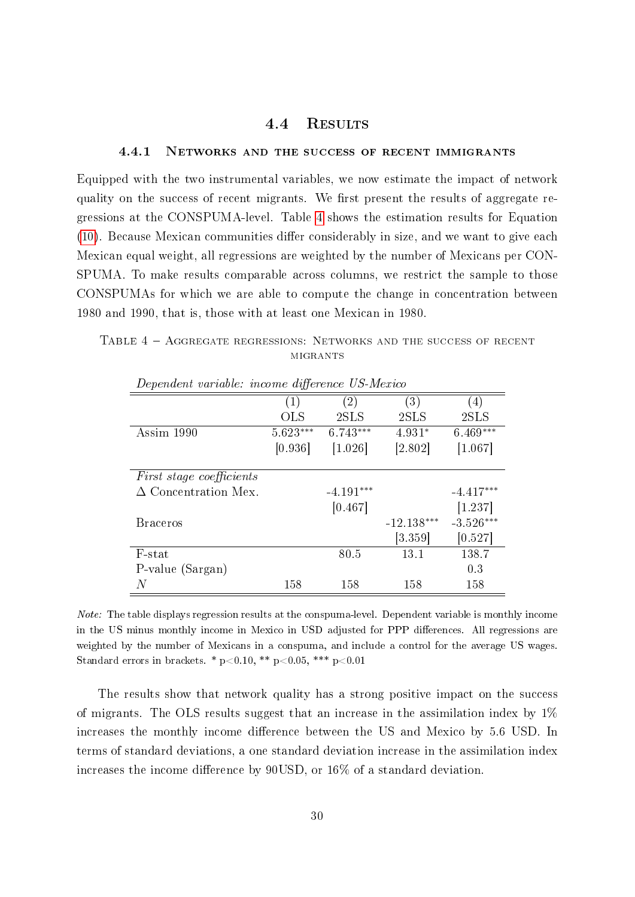#### 4.4 Results

#### <span id="page-31-1"></span>4.4.1 Networks and the success of recent immigrants

Equipped with the two instrumental variables, we now estimate the impact of network quality on the success of recent migrants. We first present the results of aggregate regressions at the CONSPUMA-level. Table [4](#page-31-0) shows the estimation results for Equation  $(10)$ . Because Mexican communities differ considerably in size, and we want to give each Mexican equal weight, all regressions are weighted by the number of Mexicans per CON-SPUMA. To make results comparable across columns, we restrict the sample to those CONSPUMAs for which we are able to compute the change in concentration between 1980 and 1990, that is, those with at least one Mexican in 1980.

<span id="page-31-0"></span>TABLE 4 - AGGREGATE REGRESSIONS: NETWORKS AND THE SUCCESS OF RECENT **MIGRANTS** 

| $D$ epenaent variable. Theomet at joint the $\sigma$ in above |                   |                   |                   |                  |  |  |  |  |
|---------------------------------------------------------------|-------------------|-------------------|-------------------|------------------|--|--|--|--|
|                                                               | $\left( 1\right)$ | $\left( 2\right)$ | $\left( 3\right)$ | $\left(4\right)$ |  |  |  |  |
|                                                               | <b>OLS</b>        | 2SLS              | 2SLS              | 2SLS             |  |  |  |  |
| Assim 1990                                                    | $5.623***$        | $6.743***$        | $4.931*$          | $6.469***$       |  |  |  |  |
|                                                               | [0.936]           | [1.026]           | [2.802]           | [1.067]          |  |  |  |  |
| <i>First stage coefficients</i>                               |                   |                   |                   |                  |  |  |  |  |
| $\Delta$ Concentration Mex.                                   |                   | $-4.191***$       |                   | $-4.417***$      |  |  |  |  |
|                                                               |                   | [0.467]           |                   | [1.237]          |  |  |  |  |
| <b>Braceros</b>                                               |                   |                   | $-12.138***$      | $-3.526***$      |  |  |  |  |
|                                                               |                   |                   | [3.359]           | [0.527]          |  |  |  |  |
| F-stat                                                        |                   | 80.5              | 13.1              | 138.7            |  |  |  |  |
| P-value (Sargan)                                              |                   |                   |                   | 0.3              |  |  |  |  |
| N                                                             | 158               | 158               | 158               | 158              |  |  |  |  |

Dependent variable: income difference US-Merico

Note: The table displays regression results at the conspuma-level. Dependent variable is monthly income in the US minus monthly income in Mexico in USD adjusted for PPP differences. All regressions are weighted by the number of Mexicans in a conspuma, and include a control for the average US wages. Standard errors in brackets. \*  $p<0.10$ , \*\*  $p<0.05$ , \*\*\*  $p<0.01$ 

The results show that network quality has a strong positive impact on the success of migrants. The OLS results suggest that an increase in the assimilation index by 1% increases the monthly income difference between the US and Mexico by 5.6 USD. In terms of standard deviations, a one standard deviation increase in the assimilation index increases the income difference by  $90USD$ , or  $16\%$  of a standard deviation.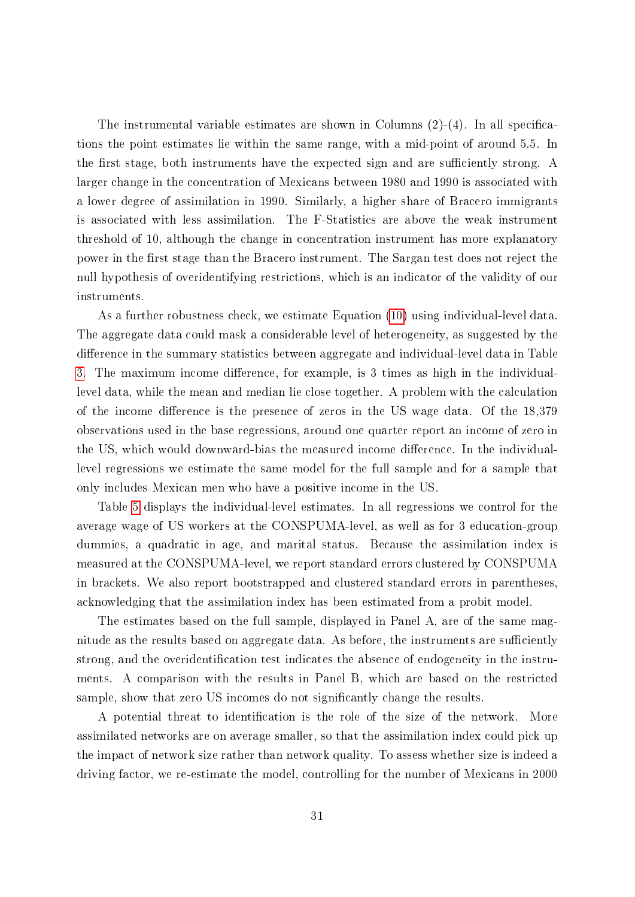The instrumental variable estimates are shown in Columns  $(2)-(4)$ . In all specifications the point estimates lie within the same range, with a mid-point of around 5.5. In the first stage, both instruments have the expected sign and are sufficiently strong. A larger change in the concentration of Mexicans between 1980 and 1990 is associated with a lower degree of assimilation in 1990. Similarly, a higher share of Bracero immigrants is associated with less assimilation. The F-Statistics are above the weak instrument threshold of 10, although the change in concentration instrument has more explanatory power in the first stage than the Bracero instrument. The Sargan test does not reject the null hypothesis of overidentifying restrictions, which is an indicator of the validity of our instruments.

As a further robustness check, we estimate Equation [\(10\)](#page-28-0) using individual-level data. The aggregate data could mask a considerable level of heterogeneity, as suggested by the difference in the summary statistics between aggregate and individual-level data in Table [3.](#page-27-0) The maximum income difference, for example, is 3 times as high in the individuallevel data, while the mean and median lie close together. A problem with the calculation of the income difference is the presence of zeros in the US wage data. Of the  $18,379$ observations used in the base regressions, around one quarter report an income of zero in the US, which would downward-bias the measured income difference. In the individuallevel regressions we estimate the same model for the full sample and for a sample that only includes Mexican men who have a positive income in the US.

Table [5](#page-33-0) displays the individual-level estimates. In all regressions we control for the average wage of US workers at the CONSPUMA-level, as well as for 3 education-group dummies, a quadratic in age, and marital status. Because the assimilation index is measured at the CONSPUMA-level, we report standard errors clustered by CONSPUMA in brackets. We also report bootstrapped and clustered standard errors in parentheses, acknowledging that the assimilation index has been estimated from a probit model.

The estimates based on the full sample, displayed in Panel A, are of the same magnitude as the results based on aggregate data. As before, the instruments are sufficiently strong, and the overidentication test indicates the absence of endogeneity in the instruments. A comparison with the results in Panel B, which are based on the restricted sample, show that zero US incomes do not signicantly change the results.

A potential threat to identification is the role of the size of the network. More assimilated networks are on average smaller, so that the assimilation index could pick up the impact of network size rather than network quality. To assess whether size is indeed a driving factor, we re-estimate the model, controlling for the number of Mexicans in 2000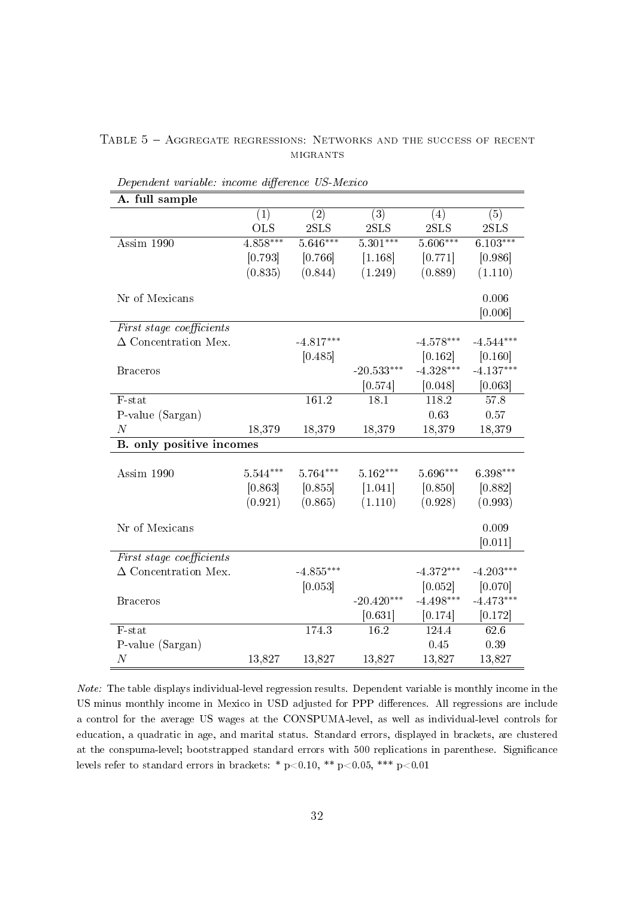<span id="page-33-0"></span>

|  | TABLE 5 - AGGREGATE REGRESSIONS: NETWORKS AND THE SUCCESS OF RECENT |          |  |  |  |
|--|---------------------------------------------------------------------|----------|--|--|--|
|  |                                                                     | MIGRANTS |  |  |  |

| A. full sample              |            |             |              |             |             |
|-----------------------------|------------|-------------|--------------|-------------|-------------|
|                             | (1)        | (2)         | (3)          | (4)         | (5)         |
|                             | <b>OLS</b> | 2SLS        | 2SLS         | 2SLS        | 2SLS        |
| Assim $1990$                | $4.858***$ | $5.646***$  | $5.301***$   | $5.606***$  | $6.103***$  |
|                             | [0.793]    | [0.766]     | [1.168]      | [0.771]     | [0.986]     |
|                             | (0.835)    | (0.844)     | (1.249)      | (0.889)     | (1.110)     |
| Nr of Mexicans              |            |             |              |             | 0.006       |
|                             |            |             |              |             | [0.006]     |
| First stage coefficients    |            |             |              |             |             |
| $\Delta$ Concentration Mex. |            | $-4.817***$ |              | $-4.578***$ | $-4.544***$ |
|                             |            | [0.485]     |              | [0.162]     | [0.160]     |
| <b>Braceros</b>             |            |             | $-20.533***$ | $-4.328***$ | $-4.137***$ |
|                             |            |             | [0.574]      | [0.048]     | [0.063]     |
| F-stat                      |            | 161.2       | 18.1         | 118.2       | 57.8        |
| P-value (Sargan)            |            |             |              | 0.63        | 0.57        |
| $\boldsymbol{N}$            | 18,379     | 18,379      | 18,379       | 18,379      | 18,379      |
| B. only positive incomes    |            |             |              |             |             |
|                             |            |             |              |             |             |
| Assim 1990                  | $5.544***$ | $5.764***$  | $5.162***$   | $5.696***$  | 6.398***    |
|                             | [0.863]    | [0.855]     | [1.041]      | [0.850]     | [0.882]     |
|                             | (0.921)    | (0.865)     | (1.110)      | (0.928)     | (0.993)     |
| Nr of Mexicans              |            |             |              |             | 0.009       |
|                             |            |             |              |             | [0.011]     |
| First stage coefficients    |            |             |              |             |             |
| $\Delta$ Concentration Mex. |            | $-4.855***$ |              | -4 $372***$ | $-4.203***$ |
|                             |            | [0.053]     |              | [0.052]     | [0.070]     |
| <b>Braceros</b>             |            |             | $-20.420***$ | $-4.498***$ | $-4.473***$ |
|                             |            |             | [0.631]      | [0.174]     | [0.172]     |
| F-stat                      |            | 174.3       | 16.2         | 124.4       | 62.6        |
| P-value (Sargan)            |            |             |              | 0.45        | $0.39\,$    |
| $\boldsymbol{N}$            | 13,827     | 13,827      | 13,827       | 13,827      | 13,827      |

Dependent variable: income difference US-Mexico

Note: The table displays individual-level regression results. Dependent variable is monthly income in the US minus monthly income in Mexico in USD adjusted for PPP differences. All regressions are include a control for the average US wages at the CONSPUMA-level, as well as individual-level controls for education, a quadratic in age, and marital status. Standard errors, displayed in brackets, are clustered at the conspuma-level; bootstrapped standard errors with 500 replications in parenthese. Significance levels refer to standard errors in brackets: \* p<0.10, \*\* p<0.05, \*\*\* p<0.01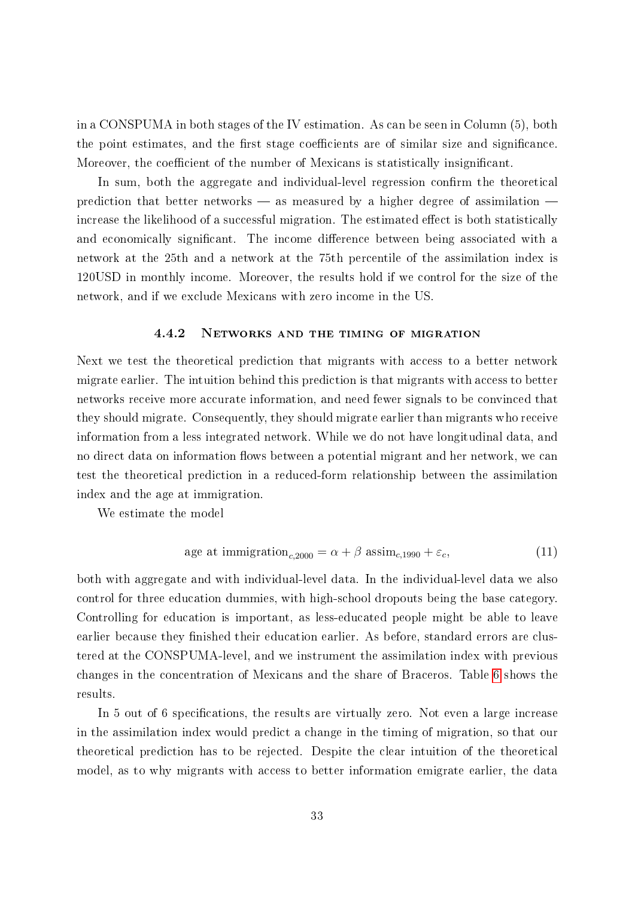in a CONSPUMA in both stages of the IV estimation. As can be seen in Column (5), both the point estimates, and the first stage coefficients are of similar size and significance. Moreover, the coefficient of the number of Mexicans is statistically insignificant.

In sum, both the aggregate and individual-level regression confirm the theoretical prediction that better networks  $-$  as measured by a higher degree of assimilation  $$ increase the likelihood of a successful migration. The estimated effect is both statistically and economically significant. The income difference between being associated with a network at the 25th and a network at the 75th percentile of the assimilation index is 120USD in monthly income. Moreover, the results hold if we control for the size of the network, and if we exclude Mexicans with zero income in the US.

#### 4.4.2 Networks and the timing of migration

Next we test the theoretical prediction that migrants with access to a better network migrate earlier. The intuition behind this prediction is that migrants with access to better networks receive more accurate information, and need fewer signals to be convinced that they should migrate. Consequently, they should migrate earlier than migrants who receive information from a less integrated network. While we do not have longitudinal data, and no direct data on information flows between a potential migrant and her network, we can test the theoretical prediction in a reduced-form relationship between the assimilation index and the age at immigration.

We estimate the model

age at immigration<sub>c,2000</sub> = 
$$
\alpha + \beta
$$
 assim<sub>c,1990</sub> +  $\varepsilon_c$ , (11)

both with aggregate and with individual-level data. In the individual-level data we also control for three education dummies, with high-school dropouts being the base category. Controlling for education is important, as less-educated people might be able to leave earlier because they finished their education earlier. As before, standard errors are clustered at the CONSPUMA-level, and we instrument the assimilation index with previous changes in the concentration of Mexicans and the share of Braceros. Table [6](#page-35-0) shows the results.

In 5 out of 6 specifications, the results are virtually zero. Not even a large increase in the assimilation index would predict a change in the timing of migration, so that our theoretical prediction has to be rejected. Despite the clear intuition of the theoretical model, as to why migrants with access to better information emigrate earlier, the data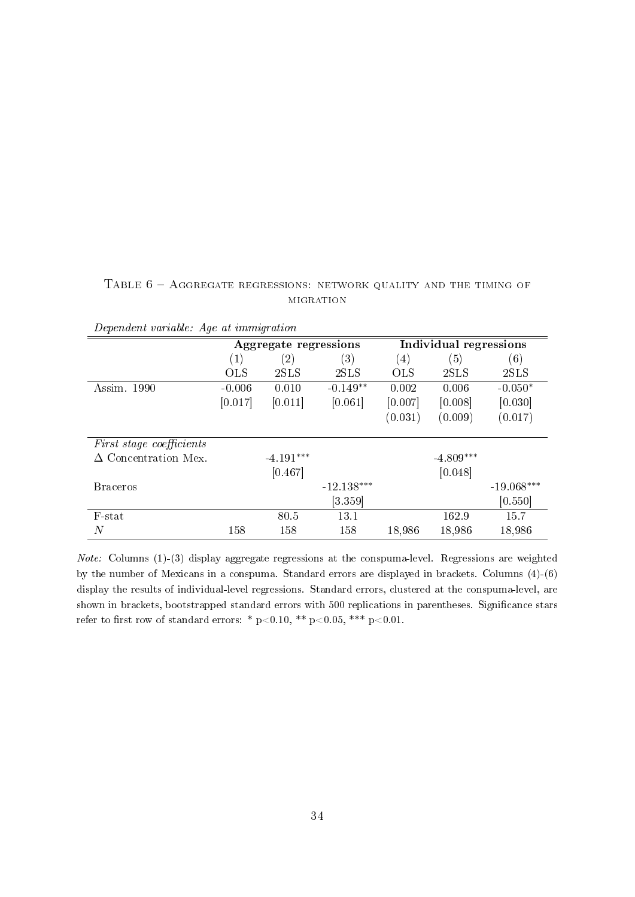#### <span id="page-35-0"></span>TABLE  $6 -$  AGGREGATE REGRESSIONS: NETWORK QUALITY AND THE TIMING OF **MIGRATION**

| <i>Dependent variable: Age at immigration</i> |            |                       |                      |                        |             |              |  |
|-----------------------------------------------|------------|-----------------------|----------------------|------------------------|-------------|--------------|--|
|                                               |            | Aggregate regressions |                      | Individual regressions |             |              |  |
|                                               | (1)        | $\left( 2\right)$     | $\left( 3\right)$    | $\left( 4\right)$      | (5)         | (6)          |  |
|                                               | <b>OLS</b> | 2SLS                  | 2SLS                 | <b>OLS</b>             | 2SLS        | 2SLS         |  |
| 1990<br>Assim.                                | $-0.006$   | 0.010                 | $-0.149**$           | 0.002                  | 0.006       | $-0.050*$    |  |
|                                               | [0.017]    | [0.011]               | [0.061]              | [0.007]                | [0.008]     | [0.030]      |  |
|                                               |            |                       |                      | (0.031)                | (0.009)     | (0.017)      |  |
| <i>First stage coefficients</i>               |            |                       |                      |                        |             |              |  |
| $\Delta$ Concentration Mex.                   |            | $-4.191***$           |                      |                        | $-4.809***$ |              |  |
|                                               |            | [0.467]               |                      |                        | [0.048]     |              |  |
| <b>Braceros</b>                               |            |                       | $-12.138***$         |                        |             | $-19.068***$ |  |
|                                               |            |                       | $\left[3.359\right]$ |                        |             | [0.550]      |  |
| F-stat                                        |            | 80.5                  | 13.1                 |                        | 162.9       | 15.7         |  |
| N                                             | 158        | 158                   | 158                  | 18,986                 | 18,986      | 18,986       |  |

Dependent variable: Age at immigration

Note: Columns (1)-(3) display aggregate regressions at the conspuma-level. Regressions are weighted by the number of Mexicans in a conspuma. Standard errors are displayed in brackets. Columns (4)-(6) display the results of individual-level regressions. Standard errors, clustered at the conspuma-level, are shown in brackets, bootstrapped standard errors with 500 replications in parentheses. Significance stars refer to first row of standard errors: \* p<0.10, \*\* p<0.05, \*\*\* p<0.01.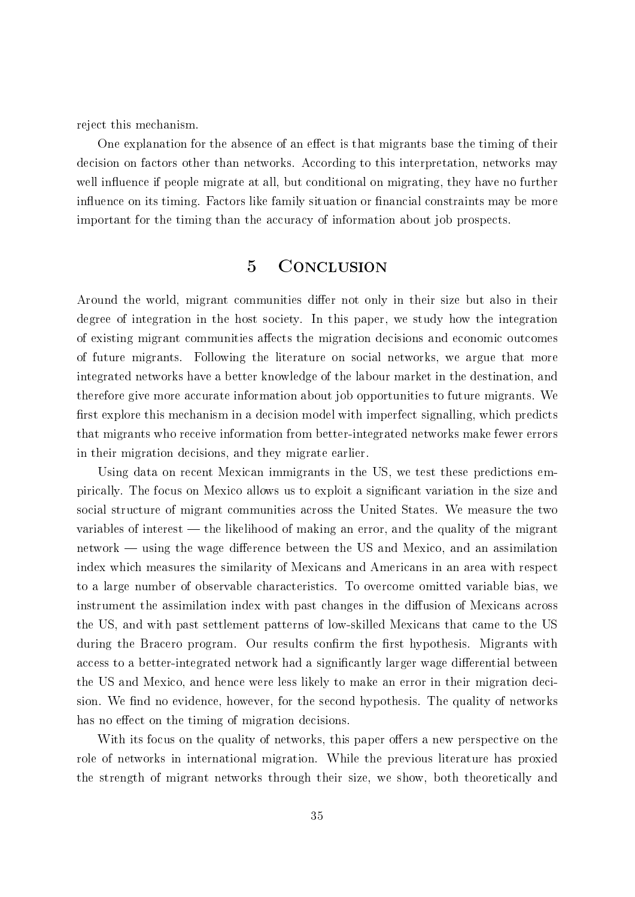reject this mechanism.

One explanation for the absence of an effect is that migrants base the timing of their decision on factors other than networks. According to this interpretation, networks may well influence if people migrate at all, but conditional on migrating, they have no further influence on its timing. Factors like family situation or financial constraints may be more important for the timing than the accuracy of information about job prospects.

## 5 Conclusion

Around the world, migrant communities differ not only in their size but also in their degree of integration in the host society. In this paper, we study how the integration of existing migrant communities affects the migration decisions and economic outcomes of future migrants. Following the literature on social networks, we argue that more integrated networks have a better knowledge of the labour market in the destination, and therefore give more accurate information about job opportunities to future migrants. We first explore this mechanism in a decision model with imperfect signalling, which predicts that migrants who receive information from better-integrated networks make fewer errors in their migration decisions, and they migrate earlier.

Using data on recent Mexican immigrants in the US, we test these predictions empirically. The focus on Mexico allows us to exploit a signicant variation in the size and social structure of migrant communities across the United States. We measure the two variables of interest  $-$  the likelihood of making an error, and the quality of the migrant  $network$  — using the wage difference between the US and Mexico, and an assimilation index which measures the similarity of Mexicans and Americans in an area with respect to a large number of observable characteristics. To overcome omitted variable bias, we instrument the assimilation index with past changes in the diffusion of Mexicans across the US, and with past settlement patterns of low-skilled Mexicans that came to the US during the Bracero program. Our results confirm the first hypothesis. Migrants with access to a better-integrated network had a significantly larger wage differential between the US and Mexico, and hence were less likely to make an error in their migration decision. We find no evidence, however, for the second hypothesis. The quality of networks has no effect on the timing of migration decisions.

With its focus on the quality of networks, this paper offers a new perspective on the role of networks in international migration. While the previous literature has proxied the strength of migrant networks through their size, we show, both theoretically and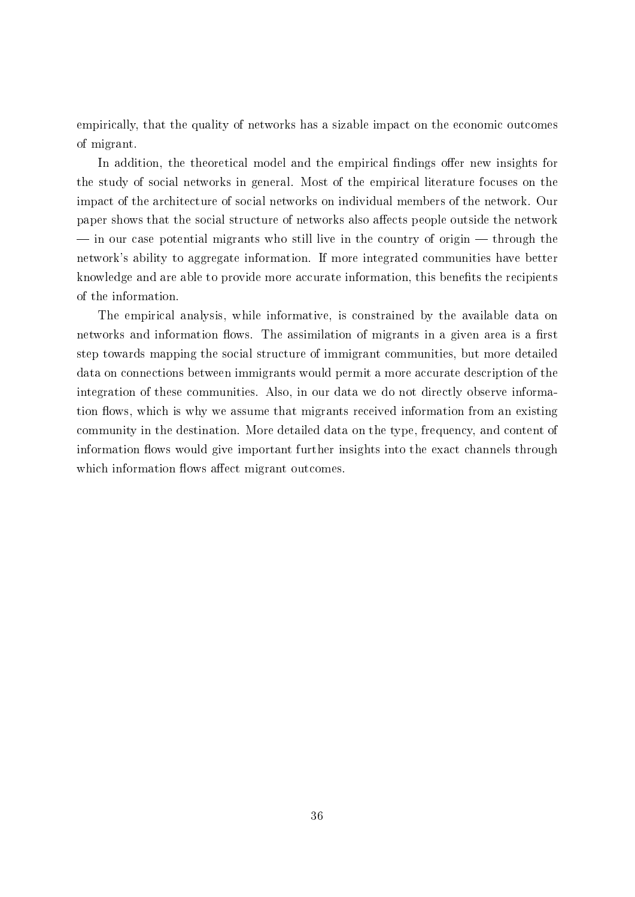empirically, that the quality of networks has a sizable impact on the economic outcomes of migrant.

In addition, the theoretical model and the empirical findings offer new insights for the study of social networks in general. Most of the empirical literature focuses on the impact of the architecture of social networks on individual members of the network. Our paper shows that the social structure of networks also affects people outside the network  $\frac{1}{10}$  in our case potential migrants who still live in the country of origin  $\frac{1}{10}$  through the network's ability to aggregate information. If more integrated communities have better knowledge and are able to provide more accurate information, this benefits the recipients of the information.

The empirical analysis, while informative, is constrained by the available data on networks and information flows. The assimilation of migrants in a given area is a first step towards mapping the social structure of immigrant communities, but more detailed data on connections between immigrants would permit a more accurate description of the integration of these communities. Also, in our data we do not directly observe information flows, which is why we assume that migrants received information from an existing community in the destination. More detailed data on the type, frequency, and content of information flows would give important further insights into the exact channels through which information flows affect migrant outcomes.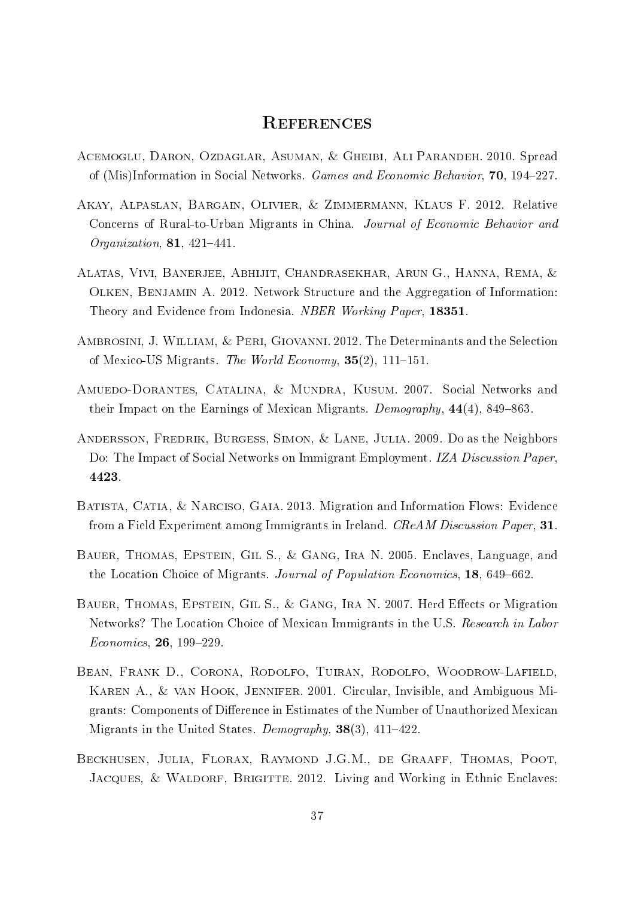## **REFERENCES**

- <span id="page-38-0"></span>Acemoglu, Daron, Ozdaglar, Asuman, & Gheibi, Ali Parandeh. 2010. Spread of (Mis)Information in Social Networks. Games and Economic Behavior, 70, 194–227.
- <span id="page-38-6"></span>Akay, Alpaslan, Bargain, Olivier, & Zimmermann, Klaus F. 2012. Relative Concerns of Rural-to-Urban Migrants in China. Journal of Economic Behavior and Organization,  $81, 421-441$ .
- <span id="page-38-1"></span>Alatas, Vivi, Banerjee, Abhijit, Chandrasekhar, Arun G., Hanna, Rema, & Olken, Benjamin A. 2012. Network Structure and the Aggregation of Information: Theory and Evidence from Indonesia. NBER Working Paper, 18351.
- <span id="page-38-8"></span>Ambrosini, J. William, & Peri, Giovanni. 2012. The Determinants and the Selection of Mexico-US Migrants. The World Economy,  $35(2)$ , 111-151.
- <span id="page-38-9"></span>Amuedo-Dorantes, Catalina, & Mundra, Kusum. 2007. Social Networks and their Impact on the Earnings of Mexican Migrants. Demography,  $44(4)$ , 849–863.
- <span id="page-38-3"></span>Andersson, Fredrik, Burgess, Simon, & Lane, Julia. 2009. Do as the Neighbors Do: The Impact of Social Networks on Immigrant Employment. IZA Discussion Paper, 4423.
- <span id="page-38-2"></span>Batista, Catia, & Narciso, Gaia. 2013. Migration and Information Flows: Evidence from a Field Experiment among Immigrants in Ireland. CReAM Discussion Paper, 31.
- <span id="page-38-4"></span>Bauer, Thomas, Epstein, Gil S., & Gang, Ira N. 2005. Enclaves, Language, and the Location Choice of Migrants. Journal of Population Economics, 18, 649–662.
- <span id="page-38-10"></span>BAUER, THOMAS, EPSTEIN, GIL S., & GANG, IRA N. 2007. Herd Effects or Migration Networks? The Location Choice of Mexican Immigrants in the U.S. Research in Labor  $Economics, 26, 199-229.$
- <span id="page-38-7"></span>Bean, Frank D., Corona, Rodolfo, Tuiran, Rodolfo, Woodrow-Lafield, Karen A., & van Hook, Jennifer. 2001. Circular, Invisible, and Ambiguous Migrants: Components of Difference in Estimates of the Number of Unauthorized Mexican Migrants in the United States. Demography,  $38(3)$ ,  $411-422$ .
- <span id="page-38-5"></span>Beckhusen, Julia, Florax, Raymond J.G.M., de Graaff, Thomas, Poot, JACQUES, & WALDORF, BRIGITTE. 2012. Living and Working in Ethnic Enclaves: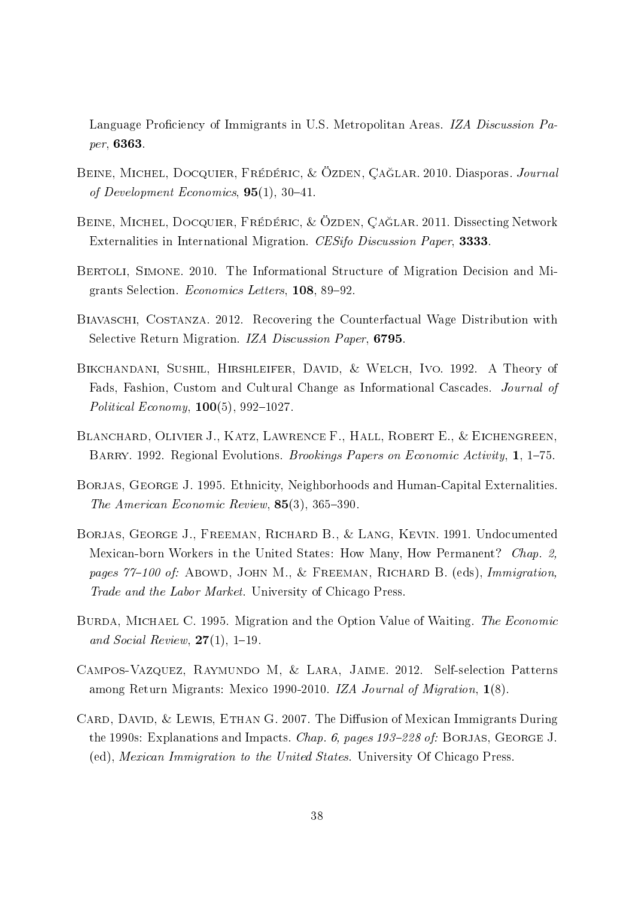Language Proficiency of Immigrants in U.S. Metropolitan Areas. IZA Discussion Paper, 6363.

- <span id="page-39-0"></span>BEINE, MICHEL, DOCQUIER, FRÉDÉRIC, & ÖZDEN, ÇAĞLAR. 2010. Diasporas. Journal of Development Economics,  $95(1)$ ,  $30-41$ .
- <span id="page-39-1"></span>Beine, Michel, Docquier, Frédéric, & Özden, Ça§lar. 2011. Dissecting Network Externalities in International Migration. CESifo Discussion Paper, 3333.
- <span id="page-39-2"></span>Bertoli, Simone. 2010. The Informational Structure of Migration Decision and Migrants Selection. Economics Letters, 108, 89-92.
- <span id="page-39-7"></span>Biavaschi, Costanza. 2012. Recovering the Counterfactual Wage Distribution with Selective Return Migration. IZA Discussion Paper, 6795.
- <span id="page-39-5"></span>Bikchandani, Sushil, Hirshleifer, David, & Welch, Ivo. 1992. A Theory of Fads, Fashion, Custom and Cultural Change as Informational Cascades. Journal of Political Economy,  $100(5)$ , 992-1027.
- <span id="page-39-10"></span>BLANCHARD, OLIVIER J., KATZ, LAWRENCE F., HALL, ROBERT E., & EICHENGREEN, BARRY. 1992. Regional Evolutions. *Brookings Papers on Economic Activity*, 1, 1–75.
- <span id="page-39-3"></span>BORJAS, GEORGE J. 1995. Ethnicity, Neighborhoods and Human-Capital Externalities. The American Economic Review,  $85(3)$ ,  $365-390$ .
- <span id="page-39-9"></span>Borjas, George J., Freeman, Richard B., & Lang, Kevin. 1991. Undocumented Mexican-born Workers in the United States: How Many, How Permanent? Chap. 2, pages 77-100 of: ABOWD, JOHN M., & FREEMAN, RICHARD B. (eds), Immigration, Trade and the Labor Market. University of Chicago Press.
- <span id="page-39-4"></span>BURDA, MICHAEL C. 1995. Migration and the Option Value of Waiting. The Economic and Social Review,  $27(1)$ , 1–19.
- <span id="page-39-8"></span>Campos-Vazquez, Raymundo M, & Lara, Jaime. 2012. Self-selection Patterns among Return Migrants: Mexico 1990-2010. IZA Journal of Migration, 1(8).
- <span id="page-39-6"></span>CARD, DAVID,  $&$  LEWIS, ETHAN G. 2007. The Diffusion of Mexican Immigrants During the 1990s: Explanations and Impacts. *Chap. 6, pages 193–228 of:* BORJAS, GEORGE J. (ed), Mexican Immigration to the United States. University Of Chicago Press.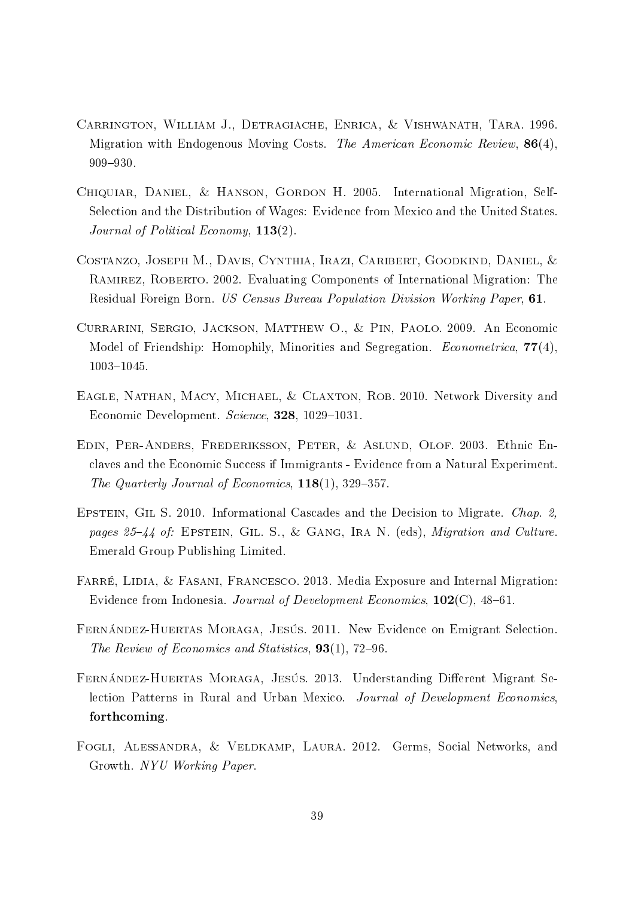- <span id="page-40-0"></span>Carrington, William J., Detragiache, Enrica, & Vishwanath, Tara. 1996. Migration with Endogenous Moving Costs. The American Economic Review,  $86(4)$ , 909-930.
- <span id="page-40-8"></span>Chiquiar, Daniel, & Hanson, Gordon H. 2005. International Migration, Self-Selection and the Distribution of Wages: Evidence from Mexico and the United States. Journal of Political Economy,  $113(2)$ .
- <span id="page-40-7"></span>Costanzo, Joseph M., Davis, Cynthia, Irazi, Caribert, Goodkind, Daniel, & Ramirez, Roberto. 2002. Evaluating Components of International Migration: The Residual Foreign Born. US Census Bureau Population Division Working Paper, 61.
- <span id="page-40-5"></span>Currarini, Sergio, Jackson, Matthew O., & Pin, Paolo. 2009. An Economic Model of Friendship: Homophily, Minorities and Segregation. *Econometrica*, 77(4), 1003-1045.
- <span id="page-40-1"></span>EAGLE, NATHAN, MACY, MICHAEL, & CLAXTON, ROB. 2010. Network Diversity and Economic Development. Science, 328, 1029-1031.
- <span id="page-40-4"></span>Edin, Per-Anders, Frederiksson, Peter, & Aslund, Olof. 2003. Ethnic Enclaves and the Economic Success if Immigrants - Evidence from a Natural Experiment. The Quarterly Journal of Economics,  $118(1)$ , 329-357.
- <span id="page-40-6"></span>EPSTEIN, GIL S. 2010. Informational Cascades and the Decision to Migrate. Chap. 2, pages  $25-44$  of: EPSTEIN, GIL. S., & GANG, IRA N. (eds), *Migration and Culture*. Emerald Group Publishing Limited.
- <span id="page-40-3"></span>FARRÉ, LIDIA, & FASANI, FRANCESCO. 2013. Media Exposure and Internal Migration: Evidence from Indonesia. Journal of Development Economics,  $102(C)$ , 48–61.
- <span id="page-40-9"></span>Fernández-Huertas Moraga, Jesús. 2011. New Evidence on Emigrant Selection. The Review of Economics and Statistics,  $93(1)$ ,  $72-96$ .
- <span id="page-40-10"></span>FERNÁNDEZ-HUERTAS MORAGA, JESÚS. 2013. Understanding Different Migrant Selection Patterns in Rural and Urban Mexico. Journal of Development Economics, forthcoming.
- <span id="page-40-2"></span>FOGLI, ALESSANDRA, & VELDKAMP, LAURA. 2012. Germs, Social Networks, and Growth. NYU Working Paper.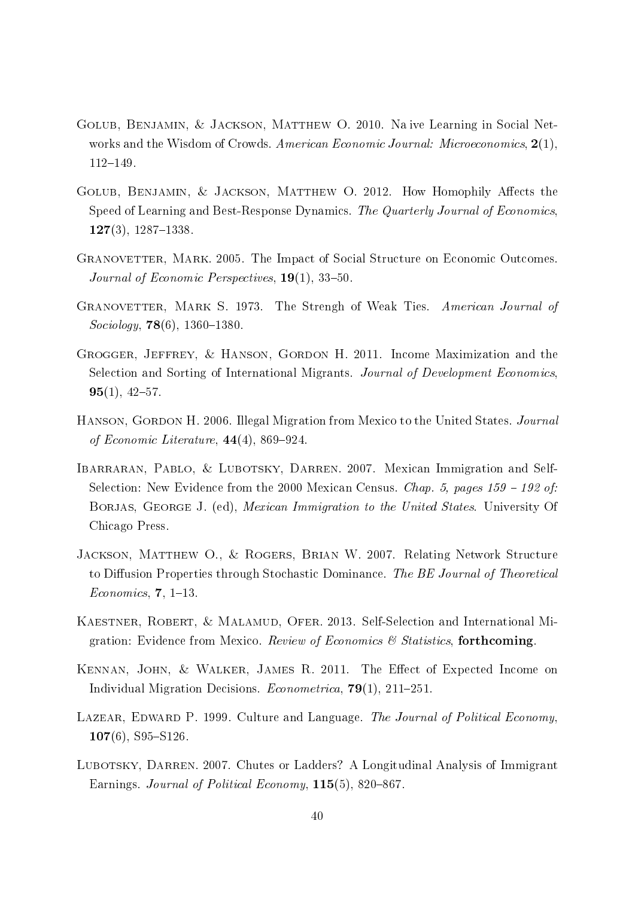- <span id="page-41-1"></span>Golub, Benjamin, & Jackson, Matthew O. 2010. Na ive Learning in Social Networks and the Wisdom of Crowds. American Economic Journal: Microeconomics, 2(1), 112-149.
- <span id="page-41-2"></span>GOLUB, BENJAMIN, & JACKSON, MATTHEW O. 2012. How Homophily Affects the Speed of Learning and Best-Response Dynamics. The Quarterly Journal of Economics,  $127(3)$ ,  $1287-1338$ .
- <span id="page-41-4"></span>Granovetter, Mark. 2005. The Impact of Social Structure on Economic Outcomes. Journal of Economic Perspectives,  $19(1)$ , 33-50.
- <span id="page-41-3"></span>GRANOVETTER, MARK S. 1973. The Strengh of Weak Ties. American Journal of  $Sociology, 78(6), 1360-1380.$
- <span id="page-41-11"></span>Grogger, Jeffrey, & Hanson, Gordon H. 2011. Income Maximization and the Selection and Sorting of International Migrants. Journal of Development Economics,  $95(1), 42-57.$
- <span id="page-41-6"></span>HANSON, GORDON H. 2006. Illegal Migration from Mexico to the United States. *Journal* of Economic Literature,  $44(4)$ , 869-924.
- <span id="page-41-9"></span>IBARRARAN, PABLO, & LUBOTSKY, DARREN. 2007. Mexican Immigration and Self-Selection: New Evidence from the 2000 Mexican Census. Chap. 5, pages  $159 - 192$  of: BORJAS, GEORGE J. (ed), *Mexican Immigration to the United States*. University Of Chicago Press.
- <span id="page-41-0"></span>JACKSON, MATTHEW O., & ROGERS, BRIAN W. 2007. Relating Network Structure to Diffusion Properties through Stochastic Dominance. The BE Journal of Theoretical  $Economics, 7, 1-13.$
- <span id="page-41-8"></span>KAESTNER, ROBERT, & MALAMUD, OFER. 2013. Self-Selection and International Migration: Evidence from Mexico. Review of Economics  $\mathcal B$  Statistics, forthcoming.
- <span id="page-41-10"></span>KENNAN, JOHN, & WALKER, JAMES R. 2011. The Effect of Expected Income on Individual Migration Decisions. *Econometrica*, **79**(1), 211–251.
- <span id="page-41-5"></span>LAZEAR, EDWARD P. 1999. Culture and Language. The Journal of Political Economy,  $107(6)$ , S95-S126.
- <span id="page-41-7"></span>LUBOTSKY, DARREN. 2007. Chutes or Ladders? A Longitudinal Analysis of Immigrant Earnings. Journal of Political Economy,  $115(5)$ , 820–867.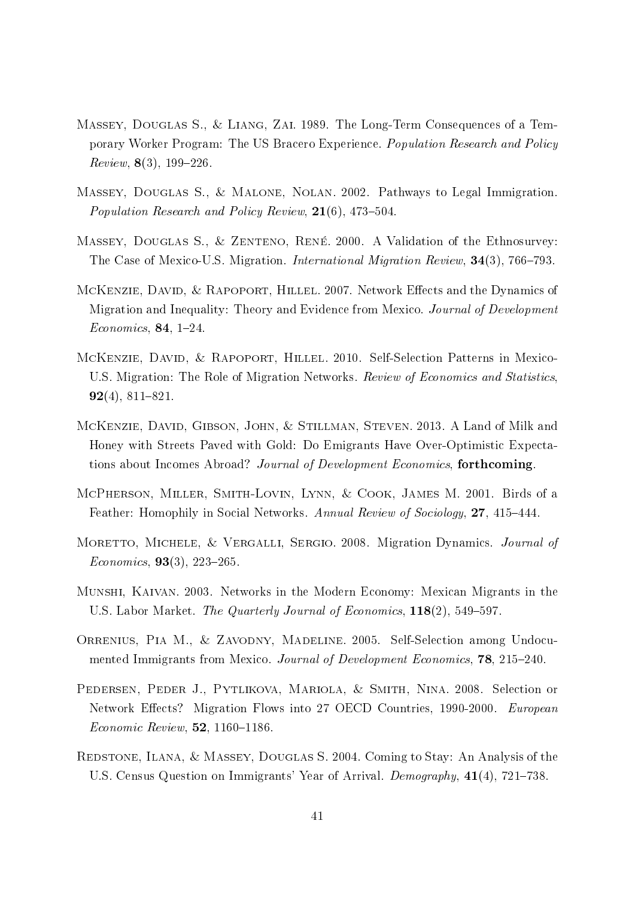- <span id="page-42-9"></span>Massey, Douglas S., & Liang, Zai. 1989. The Long-Term Consequences of a Temporary Worker Program: The US Bracero Experience. Population Research and Policy  $Review, 8(3), 199-226.$
- <span id="page-42-7"></span>Massey, Douglas S., & Malone, Nolan. 2002. Pathways to Legal Immigration. Population Research and Policy Review,  $21(6)$ , 473-504.
- <span id="page-42-11"></span>MASSEY, DOUGLAS S., & ZENTENO, RENÉ. 2000. A Validation of the Ethnosurvey: The Case of Mexico-U.S. Migration. *International Migration Review*, 34(3), 766-793.
- <span id="page-42-10"></span>MCKENZIE, DAVID, & RAPOPORT, HILLEL. 2007. Network Effects and the Dynamics of Migration and Inequality: Theory and Evidence from Mexico. Journal of Development  $Economics, 84, 1-24.$
- <span id="page-42-2"></span>McKenzie, David, & Rapoport, Hillel. 2010. Self-Selection Patterns in Mexico-U.S. Migration: The Role of Migration Networks. Review of Economics and Statistics,  $92(4)$ ,  $811-821$ .
- <span id="page-42-3"></span>McKenzie, David, Gibson, John, & Stillman, Steven. 2013. A Land of Milk and Honey with Streets Paved with Gold: Do Emigrants Have Over-Optimistic Expectations about Incomes Abroad? Journal of Development Economics, forthcoming.
- <span id="page-42-5"></span>McPherson, Miller, Smith-Lovin, Lynn, & Cook, James M. 2001. Birds of a Feather: Homophily in Social Networks. Annual Review of Sociology, 27, 415–444.
- <span id="page-42-4"></span>MORETTO, MICHELE, & VERGALLI, SERGIO. 2008. Migration Dynamics. Journal of  $Economics, 93(3), 223-265.$
- <span id="page-42-1"></span>Munshi, Kaivan. 2003. Networks in the Modern Economy: Mexican Migrants in the U.S. Labor Market. The Quarterly Journal of Economics, 118(2), 549-597.
- <span id="page-42-8"></span>ORRENIUS, PIA M., & ZAVODNY, MADELINE. 2005. Self-Selection among Undocumented Immigrants from Mexico. Journal of Development Economics, 78, 215-240.
- <span id="page-42-0"></span>Pedersen, Peder J., Pytlikova, Mariola, & Smith, Nina. 2008. Selection or Network Effects? Migration Flows into 27 OECD Countries, 1990-2000. European  $Economic$   $Review, 52, 1160-1186.$
- <span id="page-42-6"></span>Redstone, Ilana, & Massey, Douglas S. 2004. Coming to Stay: An Analysis of the U.S. Census Question on Immigrants' Year of Arrival. Demography, 41(4), 721–738.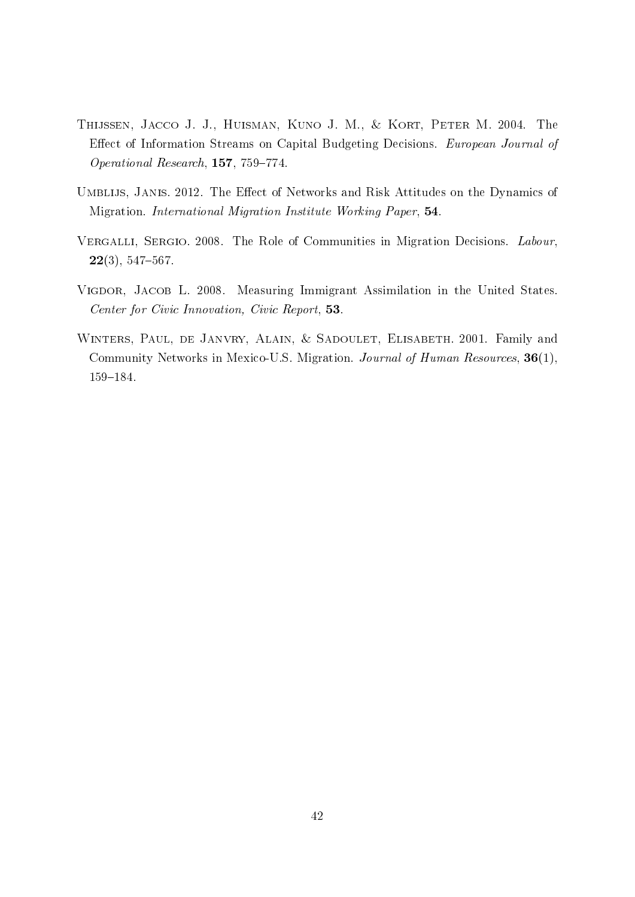- <span id="page-43-3"></span>Thijssen, Jacco J. J., Huisman, Kuno J. M., & Kort, Peter M. 2004. The Effect of Information Streams on Capital Budgeting Decisions. European Journal of Operational Research,  $157, 759-774$ .
- <span id="page-43-1"></span>UMBLIJS, JANIS. 2012. The Effect of Networks and Risk Attitudes on the Dynamics of Migration. International Migration Institute Working Paper, 54.
- <span id="page-43-2"></span>VERGALLI, SERGIO. 2008. The Role of Communities in Migration Decisions. Labour,  $22(3), 547-567.$
- <span id="page-43-4"></span>VIGDOR, JACOB L. 2008. Measuring Immigrant Assimilation in the United States. Center for Civic Innovation, Civic Report, 53.
- <span id="page-43-0"></span>WINTERS, PAUL, DE JANVRY, ALAIN, & SADOULET, ELISABETH. 2001. Family and Community Networks in Mexico-U.S. Migration. Journal of Human Resources, 36(1), 159-184.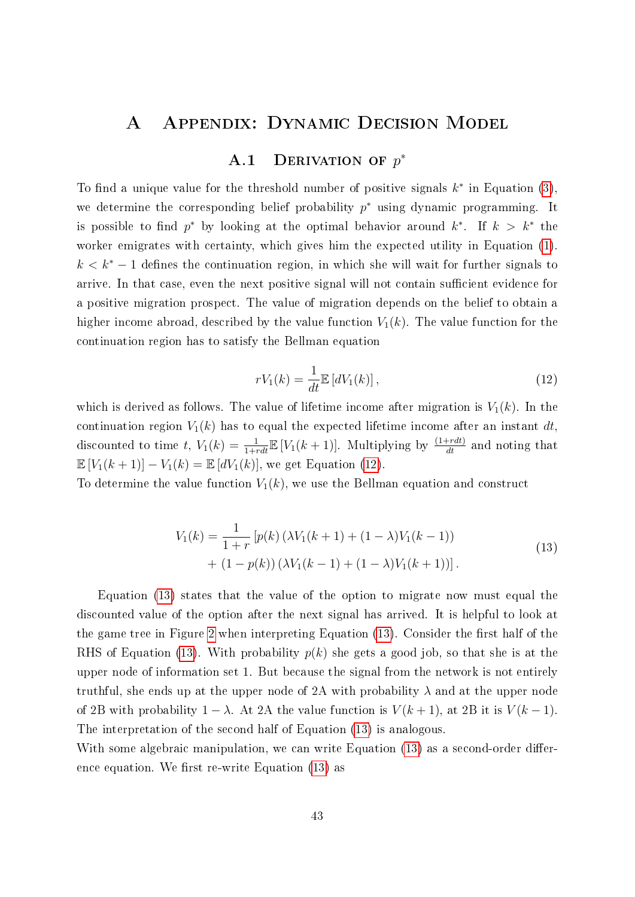## A Appendix: Dynamic Decision Model

# A.1 DERIVATION OF  $p^*$

<span id="page-44-0"></span>To find a unique value for the threshold number of positive signals  $k^*$  in Equation [\(3\)](#page-13-2), we determine the corresponding belief probability  $p^*$  using dynamic programming. It is possible to find  $p^*$  by looking at the optimal behavior around  $k^*$ . If  $k > k^*$  the worker emigrates with certainty, which gives him the expected utility in Equation [\(1\)](#page-9-1).  $k < k^* - 1$  defines the continuation region, in which she will wait for further signals to arrive. In that case, even the next positive signal will not contain sufficient evidence for a positive migration prospect. The value of migration depends on the belief to obtain a higher income abroad, described by the value function  $V_1(k)$ . The value function for the continuation region has to satisfy the Bellman equation

<span id="page-44-1"></span>
$$
rV_1(k) = \frac{1}{dt} \mathbb{E}\left[dV_1(k)\right],\tag{12}
$$

which is derived as follows. The value of lifetime income after migration is  $V_1(k)$ . In the continuation region  $V_1(k)$  has to equal the expected lifetime income after an instant dt, discounted to time t,  $V_1(k) = \frac{1}{1+rdt} \mathbb{E}[V_1(k+1)]$ . Multiplying by  $\frac{(1+rdt)}{dt}$  and noting that  $\mathbb{E}[V_1(k+1)] - V_1(k) = \mathbb{E}[dV_1(k)]$ , we get Equation [\(12\)](#page-44-1).

<span id="page-44-2"></span>To determine the value function  $V_1(k)$ , we use the Bellman equation and construct

$$
V_1(k) = \frac{1}{1+r} \left[ p(k) \left( \lambda V_1(k+1) + (1-\lambda) V_1(k-1) \right) + (1-p(k)) \left( \lambda V_1(k-1) + (1-\lambda) V_1(k+1) \right) \right].
$$
\n(13)

Equation [\(13\)](#page-44-2) states that the value of the option to migrate now must equal the discounted value of the option after the next signal has arrived. It is helpful to look at the game tree in Figure [2](#page-11-0) when interpreting Equation  $(13)$ . Consider the first half of the RHS of Equation [\(13\)](#page-44-2). With probability  $p(k)$  she gets a good job, so that she is at the upper node of information set 1. But because the signal from the network is not entirely truthful, she ends up at the upper node of 2A with probability  $\lambda$  and at the upper node of 2B with probability  $1 - \lambda$ . At 2A the value function is  $V(k+1)$ , at 2B it is  $V(k-1)$ . The interpretation of the second half of Equation [\(13\)](#page-44-2) is analogous.

With some algebraic manipulation, we can write Equation [\(13\)](#page-44-2) as a second-order difference equation. We first re-write Equation  $(13)$  as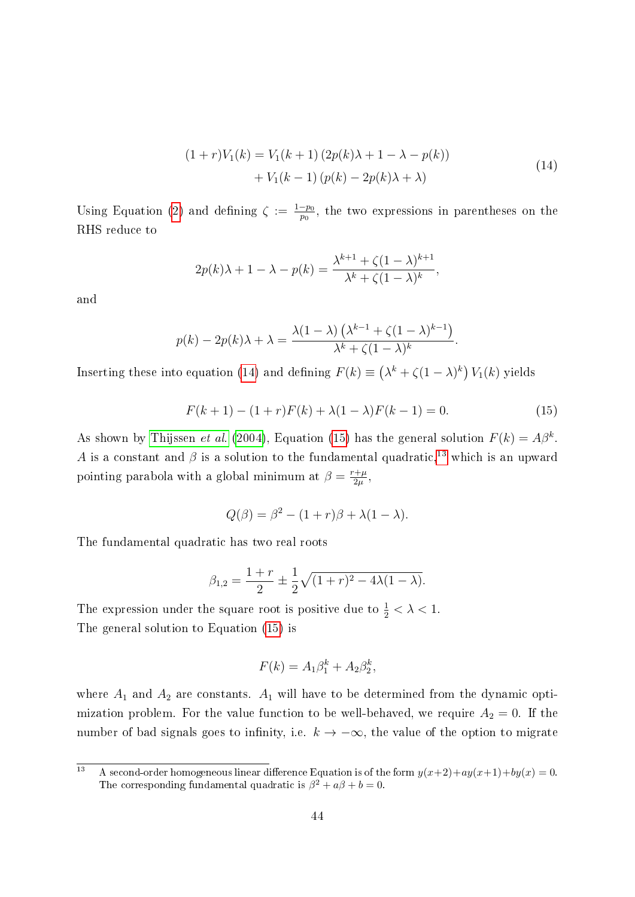$$
(1+r)V_1(k) = V_1(k+1) (2p(k)\lambda + 1 - \lambda - p(k)) + V_1(k-1) (p(k) - 2p(k)\lambda + \lambda)
$$
\n(14)

<span id="page-45-0"></span>Using Equation [\(2\)](#page-13-1) and defining  $\zeta := \frac{1-p_0}{p_0}$  $\frac{-p_0}{p_0}$ , the two expressions in parentheses on the RHS reduce to

$$
2p(k)\lambda + 1 - \lambda - p(k) = \frac{\lambda^{k+1} + \zeta(1-\lambda)^{k+1}}{\lambda^k + \zeta(1-\lambda)^k},
$$

and

$$
p(k) - 2p(k)\lambda + \lambda = \frac{\lambda(1-\lambda)\left(\lambda^{k-1} + \zeta(1-\lambda)^{k-1}\right)}{\lambda^k + \zeta(1-\lambda)^k}.
$$

Inserting these into equation [\(14\)](#page-45-0) and defining  $F(k) \equiv (\lambda^k + \zeta(1-\lambda)^k) V_1(k)$  yields

<span id="page-45-1"></span>
$$
F(k+1) - (1+r)F(k) + \lambda(1-\lambda)F(k-1) = 0.
$$
 (15)

As shown by [Thijssen](#page-43-3) *et al.* [\(2004\)](#page-43-3), Equation [\(15\)](#page-45-1) has the general solution  $F(k) = A\beta^k$ . A is a constant and  $\beta$  is a solution to the fundamental quadratic,<sup>[13](#page-45-2)</sup> which is an upward pointing parabola with a global minimum at  $\beta = \frac{r+\mu}{2\mu}$  $\frac{+\mu}{2\mu}$  ,

$$
Q(\beta) = \beta^2 - (1+r)\beta + \lambda(1-\lambda).
$$

The fundamental quadratic has two real roots

$$
\beta_{1,2} = \frac{1+r}{2} \pm \frac{1}{2} \sqrt{(1+r)^2 - 4\lambda(1-\lambda)}.
$$

The expression under the square root is positive due to  $\frac{1}{2} < \lambda < 1$ . The general solution to Equation [\(15\)](#page-45-1) is

$$
F(k) = A_1 \beta_1^k + A_2 \beta_2^k,
$$

where  $A_1$  and  $A_2$  are constants.  $A_1$  will have to be determined from the dynamic optimization problem. For the value function to be well-behaved, we require  $A_2 = 0$ . If the number of bad signals goes to infinity, i.e.  $k \to -\infty$ , the value of the option to migrate

<span id="page-45-2"></span><sup>&</sup>lt;sup>13</sup> A second-order homogeneous linear difference Equation is of the form  $y(x+2)+ay(x+1)+by(x) = 0$ . The corresponding fundamental quadratic is  $\beta^2 + a\beta + b = 0$ .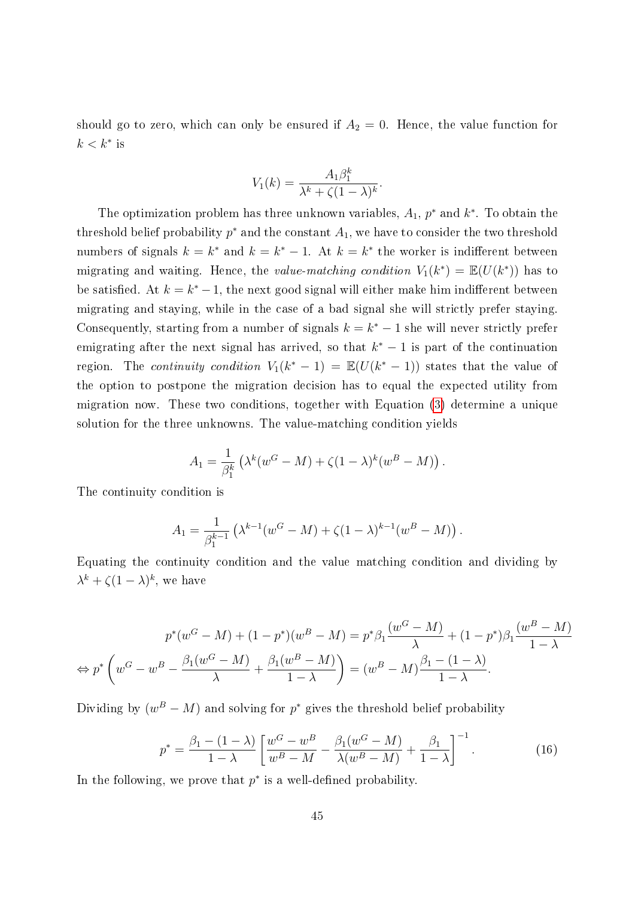should go to zero, which can only be ensured if  $A_2 = 0$ . Hence, the value function for  $k < k^*$  is

$$
V_1(k) = \frac{A_1 \beta_1^k}{\lambda^k + \zeta (1 - \lambda)^k}
$$

.

The optimization problem has three unknown variables,  $A_1$ ,  $p^*$  and  $k^*$ . To obtain the threshold belief probability  $p^*$  and the constant  $A_1$ , we have to consider the two threshold numbers of signals  $k = k^*$  and  $k = k^* - 1$ . At  $k = k^*$  the worker is indifferent between migrating and waiting. Hence, the value-matching condition  $V_1(k^*) = \mathbb{E}(U(k^*))$  has to be satisfied. At  $k = k^* - 1$ , the next good signal will either make him indifferent between migrating and staying, while in the case of a bad signal she will strictly prefer staying. Consequently, starting from a number of signals  $k = k^* - 1$  she will never strictly prefer emigrating after the next signal has arrived, so that  $k^* - 1$  is part of the continuation region. The *continuity condition*  $V_1(k^*-1) = \mathbb{E}(U(k^*-1))$  states that the value of the option to postpone the migration decision has to equal the expected utility from migration now. These two conditions, together with Equation [\(3\)](#page-13-2) determine a unique solution for the three unknowns. The value-matching condition yields

$$
A_1 = \frac{1}{\beta_1^k} \left( \lambda^k (w^G - M) + \zeta (1 - \lambda)^k (w^B - M) \right).
$$

The continuity condition is

$$
A_1 = \frac{1}{\beta_1^{k-1}} \left( \lambda^{k-1} (w^G - M) + \zeta (1 - \lambda)^{k-1} (w^B - M) \right).
$$

Equating the continuity condition and the value matching condition and dividing by  $\lambda^k + \zeta (1 - \lambda)^k$ , we have

$$
p^*(w^G - M) + (1 - p^*)(w^B - M) = p^*\beta_1 \frac{(w^G - M)}{\lambda} + (1 - p^*)\beta_1 \frac{(w^B - M)}{1 - \lambda}
$$

$$
\Leftrightarrow p^*\left(w^G - w^B - \frac{\beta_1(w^G - M)}{\lambda} + \frac{\beta_1(w^B - M)}{1 - \lambda}\right) = (w^B - M)\frac{\beta_1 - (1 - \lambda)}{1 - \lambda}.
$$

Dividing by  $(w^B - M)$  and solving for  $p^*$  gives the threshold belief probability

$$
p^* = \frac{\beta_1 - (1 - \lambda)}{1 - \lambda} \left[ \frac{w^G - w^B}{w^B - M} - \frac{\beta_1 (w^G - M)}{\lambda (w^B - M)} + \frac{\beta_1}{1 - \lambda} \right]^{-1}.
$$
 (16)

In the following, we prove that  $p^*$  is a well-defined probability.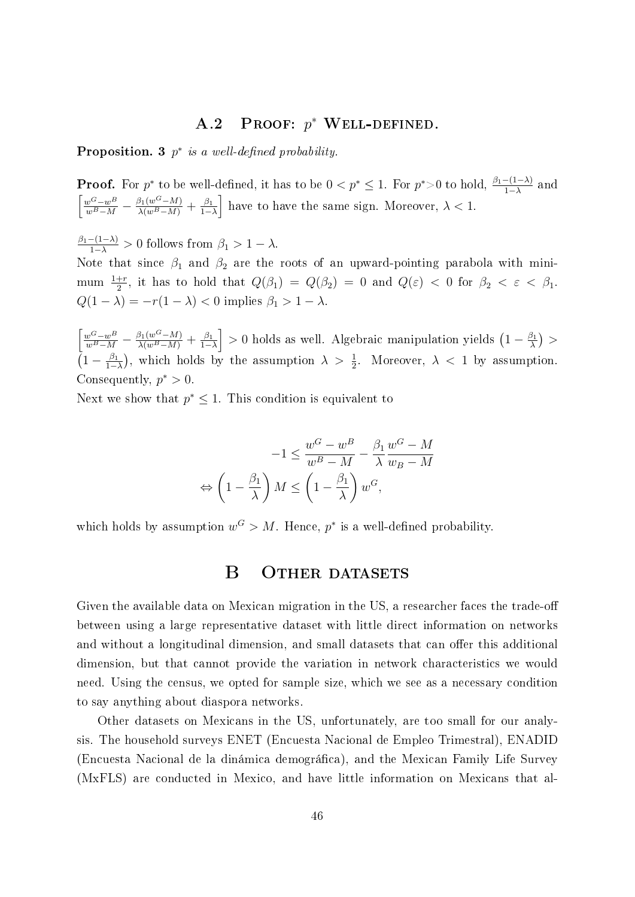# A.2 PROOF:  $p^*$  Well-Defined.

**Proposition.** 3  $p^*$  is a well-defined probability.

**Proof.** For  $p^*$  to be well-defined, it has to be  $0 < p^* \le 1$ . For  $p^* > 0$  to hold,  $\frac{\beta_1 - (1 - \lambda)}{1 - \lambda}$  and  $\frac{w^G - w^B}{w^B - M} - \frac{\beta_1(w^G - M)}{\lambda(w^B - M)} + \frac{\beta_1(w^G - M)}{1 - M}$  $\left[\frac{\beta_1}{1-\lambda}\right]$  have to have the same sign. Moreover,  $\lambda < 1$ .

 $\frac{\beta_1-(1-\lambda)}{1-\lambda} > 0$  follows from  $\beta_1 > 1 - \lambda$ .

Note that since  $\beta_1$  and  $\beta_2$  are the roots of an upward-pointing parabola with minimum  $\frac{1+r}{2}$ , it has to hold that  $Q(\beta_1) = Q(\beta_2) = 0$  and  $Q(\varepsilon) < 0$  for  $\beta_2 < \varepsilon < \beta_1$ .  $Q(1 - \lambda) = -r(1 - \lambda) < 0$  implies  $\beta_1 > 1 - \lambda$ .

 $\frac{w^G - w^B}{w^B - M} - \frac{\beta_1(w^G - M)}{\lambda(w^B - M)} + \frac{\beta_1(w^G - M)}{1 - M}$  $\left(\frac{\beta_1}{1-\lambda}\right] > 0$  holds as well. Algebraic manipulation yields  $\left(1 - \frac{\beta_1}{\lambda}\right)$  $\frac{\beta_1}{\lambda}$  >  $\left(1-\frac{\beta_1}{1-\right)}\right.$  $\frac{\beta_1}{1-\lambda}$ , which holds by the assumption  $\lambda > \frac{1}{2}$ . Moreover,  $\lambda < 1$  by assumption. Consequently,  $p^* > 0$ .

Next we show that  $p^* \leq 1$ . This condition is equivalent to

$$
-1 \le \frac{w^G - w^B}{w^B - M} - \frac{\beta_1}{\lambda} \frac{w^G - M}{w_B - M}
$$

$$
\Leftrightarrow \left(1 - \frac{\beta_1}{\lambda}\right)M \le \left(1 - \frac{\beta_1}{\lambda}\right)w^G,
$$

<span id="page-47-0"></span>which holds by assumption  $w^G > M$ . Hence,  $p^*$  is a well-defined probability.

## B OTHER DATASETS

Given the available data on Mexican migration in the US, a researcher faces the trade-off between using a large representative dataset with little direct information on networks and without a longitudinal dimension, and small datasets that can offer this additional dimension, but that cannot provide the variation in network characteristics we would need. Using the census, we opted for sample size, which we see as a necessary condition to say anything about diaspora networks.

Other datasets on Mexicans in the US, unfortunately, are too small for our analysis. The household surveys ENET (Encuesta Nacional de Empleo Trimestral), ENADID (Encuesta Nacional de la dinámica demográca), and the Mexican Family Life Survey (MxFLS) are conducted in Mexico, and have little information on Mexicans that al-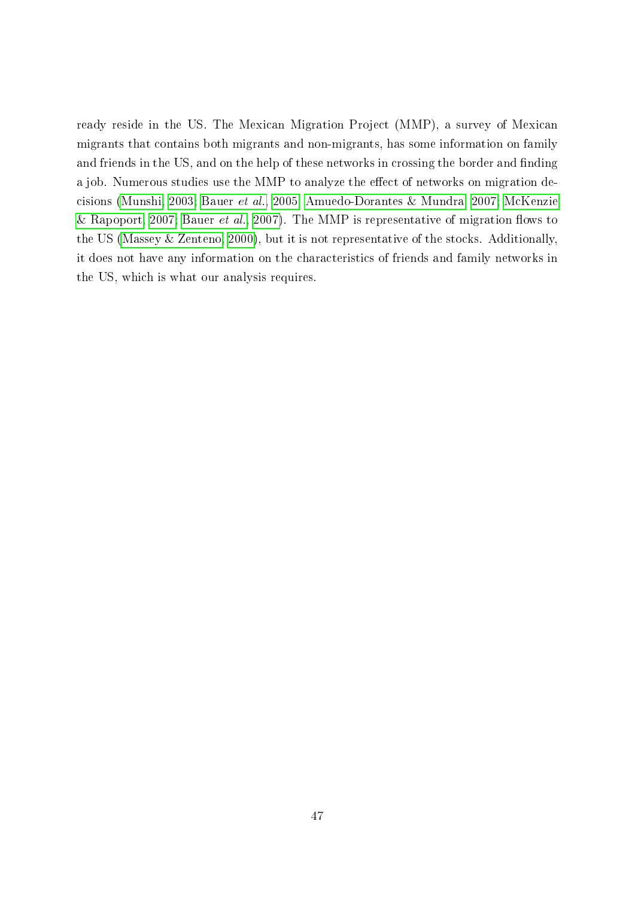ready reside in the US. The Mexican Migration Project (MMP), a survey of Mexican migrants that contains both migrants and non-migrants, has some information on family and friends in the US, and on the help of these networks in crossing the border and finding a job. Numerous studies use the MMP to analyze the effect of networks on migration decisions [\(Munshi, 2003;](#page-42-1) [Bauer](#page-38-4) et al., [2005;](#page-38-4) [Amuedo-Dorantes & Mundra, 2007;](#page-38-9) [McKenzie](#page-42-10) [& Rapoport, 2007;](#page-42-10) [Bauer](#page-38-10) et al., [2007\)](#page-38-10). The MMP is representative of migration flows to the US [\(Massey & Zenteno, 2000\)](#page-42-11), but it is not representative of the stocks. Additionally, it does not have any information on the characteristics of friends and family networks in the US, which is what our analysis requires.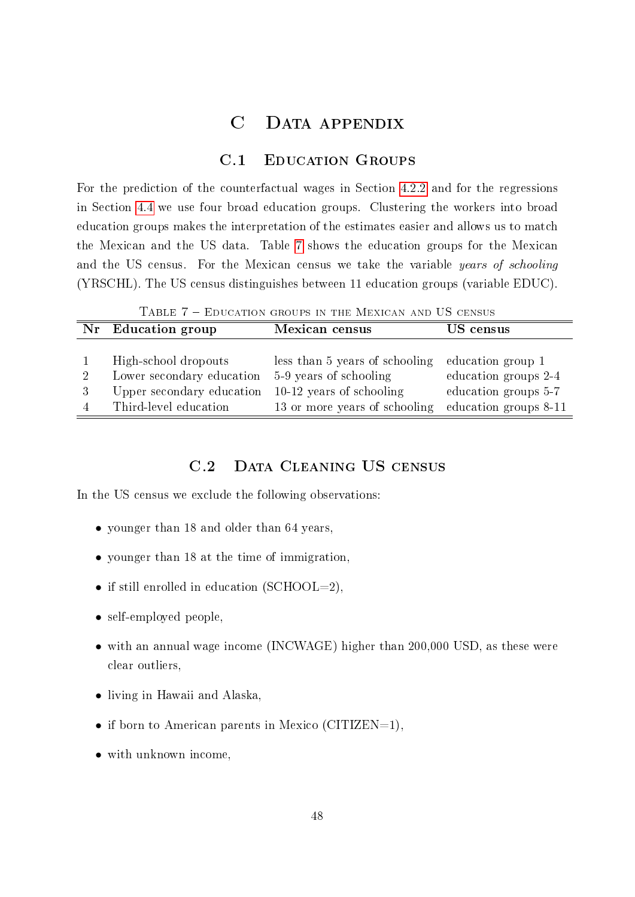## C Data appendix

## C.1 Education Groups

<span id="page-49-1"></span><span id="page-49-0"></span>For the prediction of the counterfactual wages in Section [4.2.2](#page-20-1) and for the regressions in Section [4.4](#page-31-1) we use four broad education groups. Clustering the workers into broad education groups makes the interpretation of the estimates easier and allows us to match the Mexican and the US data. Table [7](#page-49-2) shows the education groups for the Mexican and the US census. For the Mexican census we take the variable years of schooling (YRSCHL). The US census distinguishes between 11 education groups (variable EDUC).

Table 7 Education groups in the Mexican and US census

<span id="page-49-2"></span>

|   | Nr Education group        | Mexican census                 | US census             |
|---|---------------------------|--------------------------------|-----------------------|
|   |                           |                                |                       |
|   | High-school dropouts      | less than 5 years of schooling | education group 1     |
| 2 | Lower secondary education | 5-9 years of schooling         | education groups 2-4  |
|   | Upper secondary education | $10-12$ years of schooling     | education groups 5-7  |
|   | Third-level education     | 13 or more years of schooling  | education groups 8-11 |

## C.2 DATA CLEANING US CENSUS

In the US census we exclude the following observations:

- younger than 18 and older than 64 years,
- younger than 18 at the time of immigration,
- if still enrolled in education (SCHOOL=2),
- self-employed people.
- with an annual wage income (INCWAGE) higher than 200,000 USD, as these were clear outliers,
- living in Hawaii and Alaska,
- if born to American parents in Mexico (CITIZEN=1),
- with unknown income,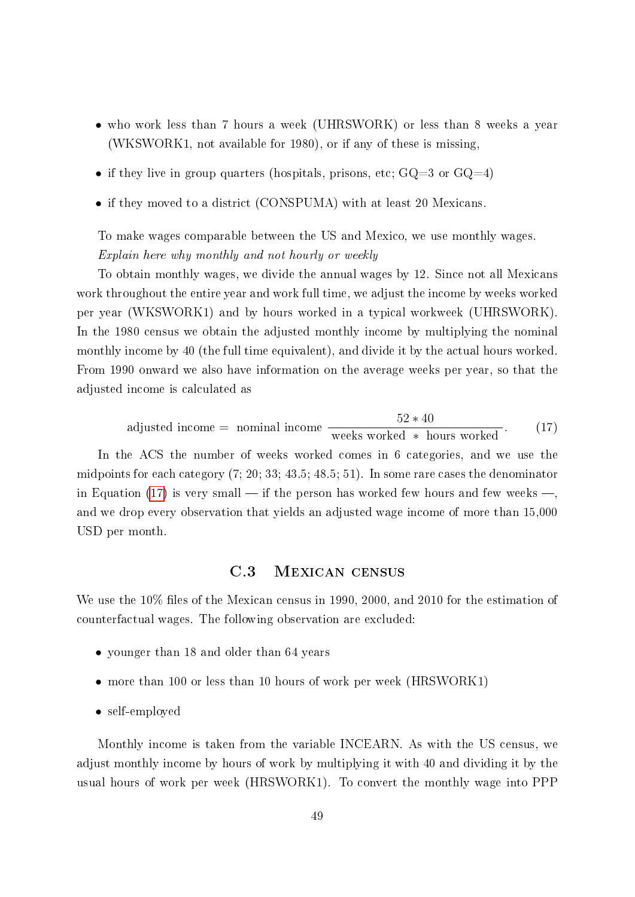- who work less than 7 hours a week (UHRSWORK) or less than 8 weeks a year (WKSWORK1, not available for 1980), or if any of these is missing,
- if they live in group quarters (hospitals, prisons, etc;  $GQ=3$  or  $GQ=4$ )
- if they moved to a district (CONSPUMA) with at least 20 Mexicans.

To make wages comparable between the US and Mexico, we use monthly wages. Explain here why monthly and not hourly or weekly

To obtain monthly wages, we divide the annual wages by 12. Since not all Mexicans work throughout the entire year and work full time, we adjust the income by weeks worked per year (WKSWORK1) and by hours worked in a typical workweek (UHRSWORK). In the 1980 census we obtain the adjusted monthly income by multiplying the nominal monthly income by 40 (the full time equivalent), and divide it by the actual hours worked. From 1990 onward we also have information on the average weeks per year, so that the adjusted income is calculated as

<span id="page-50-0"></span>adjusted income = nominal income 
$$
\frac{52 * 40}{\text{ weeks worked} * hours worked}.
$$
 (17)

In the ACS the number of weeks worked comes in 6 categories, and we use the midpoints for each category (7; 20; 33; 43.5; 48.5; 51). In some rare cases the denominator in Equation [\(17\)](#page-50-0) is very small — if the person has worked few hours and few weeks —, and we drop every observation that yields an adjusted wage income of more than 15,000 USD per month.

## C.3 Mexican census

We use the  $10\%$  files of the Mexican census in 1990, 2000, and 2010 for the estimation of counterfactual wages. The following observation are excluded:

- younger than 18 and older than 64 years
- more than 100 or less than 10 hours of work per week (HRSWORK1)
- self-employed

Monthly income is taken from the variable INCEARN. As with the US census, we adjust monthly income by hours of work by multiplying it with 40 and dividing it by the usual hours of work per week (HRSWORK1). To convert the monthly wage into PPP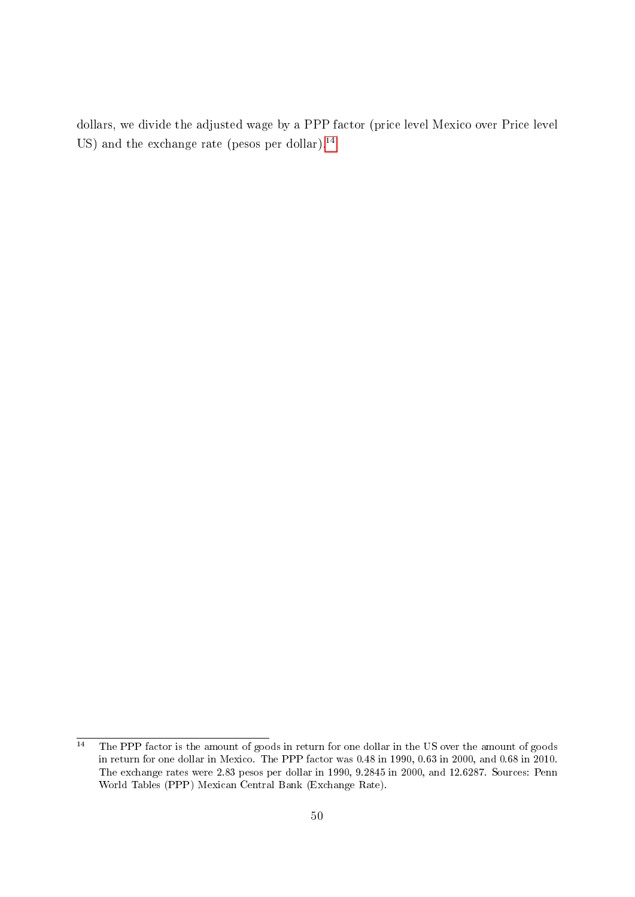dollars, we divide the adjusted wage by a PPP factor (price level Mexico over Price level US) and the exchange rate (pesos per dollar).<sup>[14](#page-51-0)</sup>

<span id="page-51-0"></span> $\frac{14}{14}$  The PPP factor is the amount of goods in return for one dollar in the US over the amount of goods in return for one dollar in Mexico. The PPP factor was 0.48 in 1990, 0.63 in 2000, and 0.68 in 2010. The exchange rates were 2.83 pesos per dollar in 1990, 9.2845 in 2000, and 12.6287. Sources: Penn World Tables (PPP) Mexican Central Bank (Exchange Rate).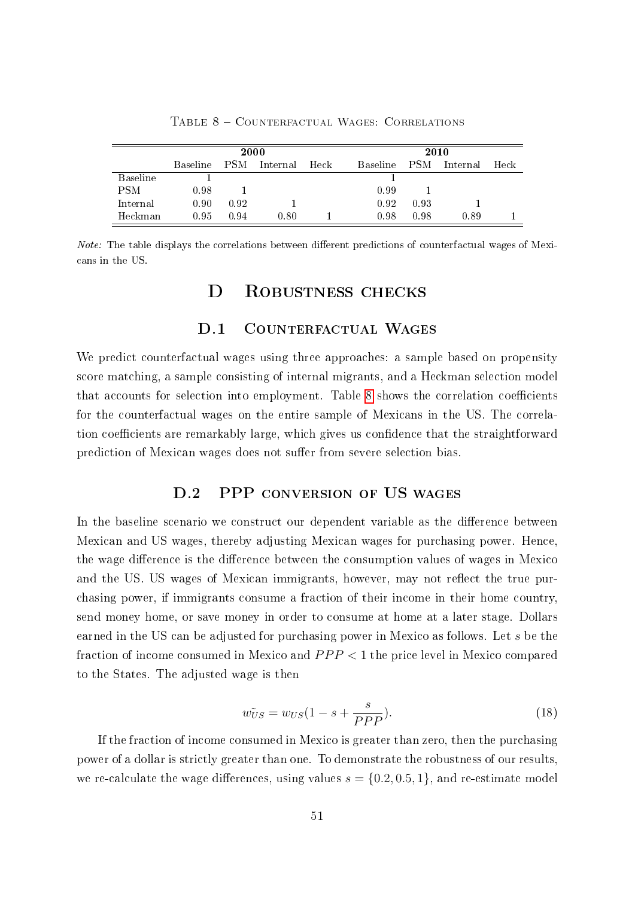<span id="page-52-1"></span>

|                 |                 | 2000       |          |      |                 | 2010       |          |      |
|-----------------|-----------------|------------|----------|------|-----------------|------------|----------|------|
|                 | <b>Baseline</b> | <b>PSM</b> | Internal | Heck | <b>Baseline</b> | <b>PSM</b> | Internal | Heck |
| <b>Baseline</b> |                 |            |          |      |                 |            |          |      |
| <b>PSM</b>      | 0.98            |            |          |      | 0.99            |            |          |      |
| Internal        | 0.90            | 0.92       |          |      | 0.92            | 0.93       |          |      |
| Heckman         | 0.95            | 0.94       | 0.80     |      | 0.98            | 0.98       | 0.89     |      |

TABLE 8 - COUNTERFACTUAL WAGES: CORRELATIONS

*Note:* The table displays the correlations between different predictions of counterfactual wages of Mexicans in the US.

## D ROBUSTNESS CHECKS

#### D.1 COUNTERFACTUAL WAGES

<span id="page-52-0"></span>We predict counterfactual wages using three approaches: a sample based on propensity score matching, a sample consisting of internal migrants, and a Heckman selection model that accounts for selection into employment. Table [8](#page-52-1) shows the correlation coefficients for the counterfactual wages on the entire sample of Mexicans in the US. The correlation coefficients are remarkably large, which gives us confidence that the straightforward prediction of Mexican wages does not suffer from severe selection bias.

## D.2 PPP CONVERSION OF US WAGES

In the baseline scenario we construct our dependent variable as the difference between Mexican and US wages, thereby adjusting Mexican wages for purchasing power. Hence, the wage difference is the difference between the consumption values of wages in Mexico and the US. US wages of Mexican immigrants, however, may not reflect the true purchasing power, if immigrants consume a fraction of their income in their home country, send money home, or save money in order to consume at home at a later stage. Dollars earned in the US can be adjusted for purchasing power in Mexico as follows. Let s be the fraction of income consumed in Mexico and  $PPP < 1$  the price level in Mexico compared to the States. The adjusted wage is then

$$
\tilde{w_{US}} = w_{US}(1 - s + \frac{s}{PPP}).\tag{18}
$$

If the fraction of income consumed in Mexico is greater than zero, then the purchasing power of a dollar is strictly greater than one. To demonstrate the robustness of our results, we re-calculate the wage differences, using values  $s = \{0.2, 0.5, 1\}$ , and re-estimate model